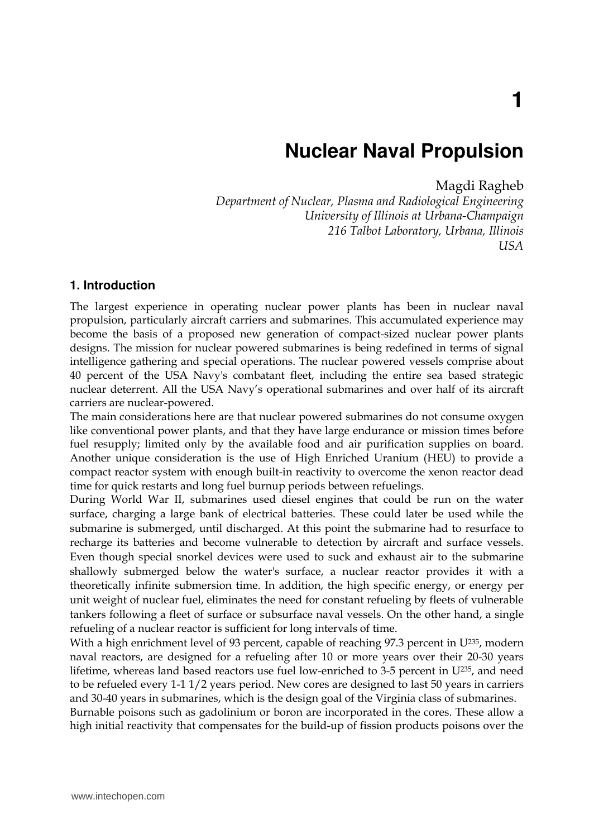# **Nuclear Naval Propulsion**

## Magdi Ragheb

*Department of Nuclear, Plasma and Radiological Engineering University of Illinois at Urbana-Champaign 216 Talbot Laboratory, Urbana, Illinois USA* 

## **1. Introduction**

The largest experience in operating nuclear power plants has been in nuclear naval propulsion, particularly aircraft carriers and submarines. This accumulated experience may become the basis of a proposed new generation of compact-sized nuclear power plants designs. The mission for nuclear powered submarines is being redefined in terms of signal intelligence gathering and special operations. The nuclear powered vessels comprise about 40 percent of the USA Navy's combatant fleet, including the entire sea based strategic nuclear deterrent. All the USA Navy's operational submarines and over half of its aircraft carriers are nuclear-powered.

The main considerations here are that nuclear powered submarines do not consume oxygen like conventional power plants, and that they have large endurance or mission times before fuel resupply; limited only by the available food and air purification supplies on board. Another unique consideration is the use of High Enriched Uranium (HEU) to provide a compact reactor system with enough built-in reactivity to overcome the xenon reactor dead time for quick restarts and long fuel burnup periods between refuelings.

During World War II, submarines used diesel engines that could be run on the water surface, charging a large bank of electrical batteries. These could later be used while the submarine is submerged, until discharged. At this point the submarine had to resurface to recharge its batteries and become vulnerable to detection by aircraft and surface vessels. Even though special snorkel devices were used to suck and exhaust air to the submarine shallowly submerged below the water's surface, a nuclear reactor provides it with a theoretically infinite submersion time. In addition, the high specific energy, or energy per unit weight of nuclear fuel, eliminates the need for constant refueling by fleets of vulnerable tankers following a fleet of surface or subsurface naval vessels. On the other hand, a single refueling of a nuclear reactor is sufficient for long intervals of time.

With a high enrichment level of 93 percent, capable of reaching 97.3 percent in U<sup>235</sup>, modern naval reactors, are designed for a refueling after 10 or more years over their 20-30 years lifetime, whereas land based reactors use fuel low-enriched to 3-5 percent in U235, and need to be refueled every 1-1 1/2 years period. New cores are designed to last 50 years in carriers and 30-40 years in submarines, which is the design goal of the Virginia class of submarines.

Burnable poisons such as gadolinium or boron are incorporated in the cores. These allow a high initial reactivity that compensates for the build-up of fission products poisons over the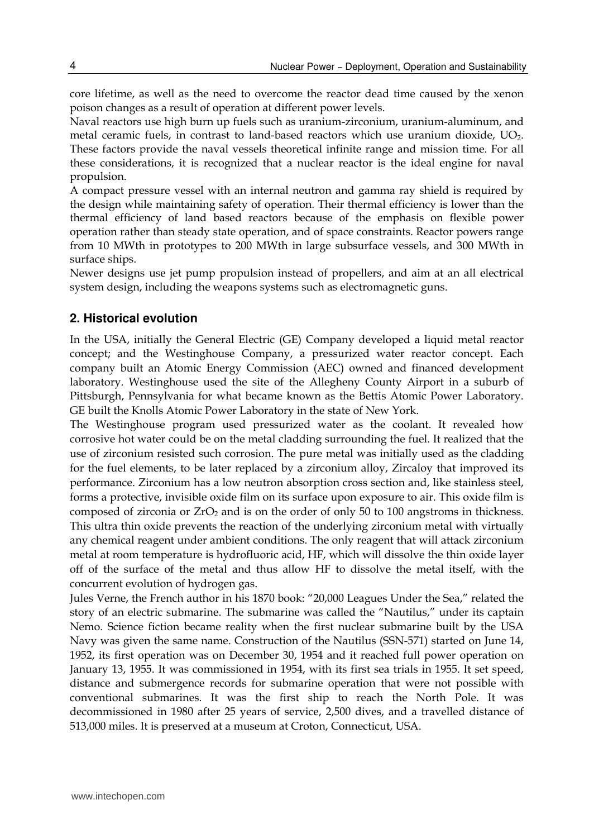core lifetime, as well as the need to overcome the reactor dead time caused by the xenon poison changes as a result of operation at different power levels.

Naval reactors use high burn up fuels such as uranium-zirconium, uranium-aluminum, and metal ceramic fuels, in contrast to land-based reactors which use uranium dioxide,  $UO<sub>2</sub>$ . These factors provide the naval vessels theoretical infinite range and mission time. For all these considerations, it is recognized that a nuclear reactor is the ideal engine for naval propulsion.

A compact pressure vessel with an internal neutron and gamma ray shield is required by the design while maintaining safety of operation. Their thermal efficiency is lower than the thermal efficiency of land based reactors because of the emphasis on flexible power operation rather than steady state operation, and of space constraints. Reactor powers range from 10 MWth in prototypes to 200 MWth in large subsurface vessels, and 300 MWth in surface ships.

Newer designs use jet pump propulsion instead of propellers, and aim at an all electrical system design, including the weapons systems such as electromagnetic guns.

## **2. Historical evolution**

In the USA, initially the General Electric (GE) Company developed a liquid metal reactor concept; and the Westinghouse Company, a pressurized water reactor concept. Each company built an Atomic Energy Commission (AEC) owned and financed development laboratory. Westinghouse used the site of the Allegheny County Airport in a suburb of Pittsburgh, Pennsylvania for what became known as the Bettis Atomic Power Laboratory. GE built the Knolls Atomic Power Laboratory in the state of New York.

The Westinghouse program used pressurized water as the coolant. It revealed how corrosive hot water could be on the metal cladding surrounding the fuel. It realized that the use of zirconium resisted such corrosion. The pure metal was initially used as the cladding for the fuel elements, to be later replaced by a zirconium alloy, Zircaloy that improved its performance. Zirconium has a low neutron absorption cross section and, like stainless steel, forms a protective, invisible oxide film on its surface upon exposure to air. This oxide film is composed of zirconia or  $ZrO<sub>2</sub>$  and is on the order of only 50 to 100 angstroms in thickness. This ultra thin oxide prevents the reaction of the underlying zirconium metal with virtually any chemical reagent under ambient conditions. The only reagent that will attack zirconium metal at room temperature is hydrofluoric acid, HF, which will dissolve the thin oxide layer off of the surface of the metal and thus allow HF to dissolve the metal itself, with the concurrent evolution of hydrogen gas.

Jules Verne, the French author in his 1870 book: "20,000 Leagues Under the Sea," related the story of an electric submarine. The submarine was called the "Nautilus," under its captain Nemo. Science fiction became reality when the first nuclear submarine built by the USA Navy was given the same name. Construction of the Nautilus (SSN-571) started on June 14, 1952, its first operation was on December 30, 1954 and it reached full power operation on January 13, 1955. It was commissioned in 1954, with its first sea trials in 1955. It set speed, distance and submergence records for submarine operation that were not possible with conventional submarines. It was the first ship to reach the North Pole. It was decommissioned in 1980 after 25 years of service, 2,500 dives, and a travelled distance of 513,000 miles. It is preserved at a museum at Croton, Connecticut, USA.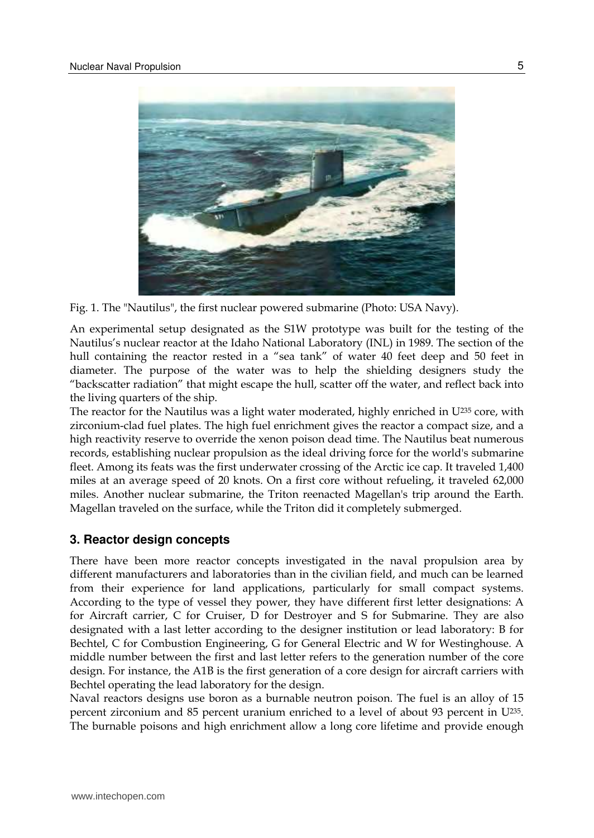

Fig. 1. The "Nautilus", the first nuclear powered submarine (Photo: USA Navy).

An experimental setup designated as the S1W prototype was built for the testing of the Nautilus's nuclear reactor at the Idaho National Laboratory (INL) in 1989. The section of the hull containing the reactor rested in a "sea tank" of water 40 feet deep and 50 feet in diameter. The purpose of the water was to help the shielding designers study the "backscatter radiation" that might escape the hull, scatter off the water, and reflect back into the living quarters of the ship.

The reactor for the Nautilus was a light water moderated, highly enriched in U235 core, with zirconium-clad fuel plates. The high fuel enrichment gives the reactor a compact size, and a high reactivity reserve to override the xenon poison dead time. The Nautilus beat numerous records, establishing nuclear propulsion as the ideal driving force for the world's submarine fleet. Among its feats was the first underwater crossing of the Arctic ice cap. It traveled 1,400 miles at an average speed of 20 knots. On a first core without refueling, it traveled 62,000 miles. Another nuclear submarine, the Triton reenacted Magellan's trip around the Earth. Magellan traveled on the surface, while the Triton did it completely submerged.

## **3. Reactor design concepts**

There have been more reactor concepts investigated in the naval propulsion area by different manufacturers and laboratories than in the civilian field, and much can be learned from their experience for land applications, particularly for small compact systems. According to the type of vessel they power, they have different first letter designations: A for Aircraft carrier, C for Cruiser, D for Destroyer and S for Submarine. They are also designated with a last letter according to the designer institution or lead laboratory: B for Bechtel, C for Combustion Engineering, G for General Electric and W for Westinghouse. A middle number between the first and last letter refers to the generation number of the core design. For instance, the A1B is the first generation of a core design for aircraft carriers with Bechtel operating the lead laboratory for the design.

Naval reactors designs use boron as a burnable neutron poison. The fuel is an alloy of 15 percent zirconium and 85 percent uranium enriched to a level of about 93 percent in U235. The burnable poisons and high enrichment allow a long core lifetime and provide enough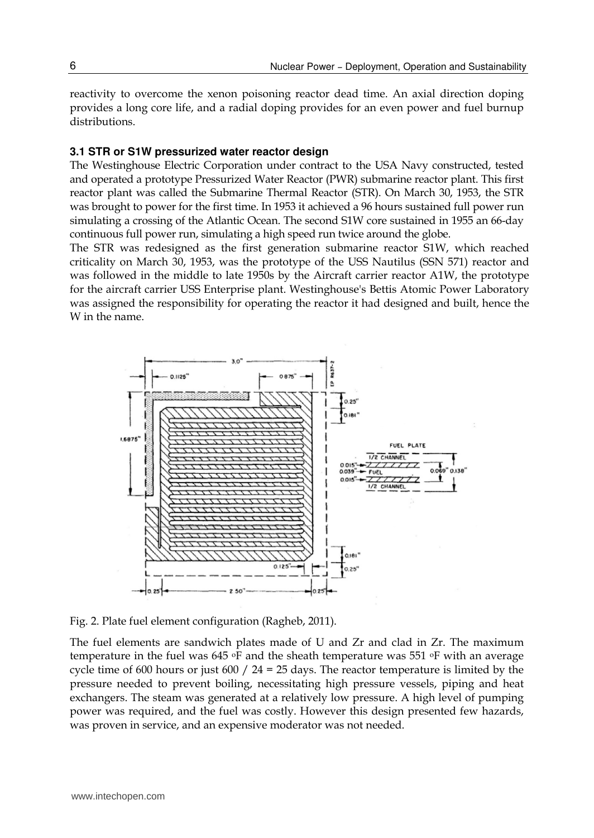reactivity to overcome the xenon poisoning reactor dead time. An axial direction doping provides a long core life, and a radial doping provides for an even power and fuel burnup distributions.

#### **3.1 STR or S1W pressurized water reactor design**

The Westinghouse Electric Corporation under contract to the USA Navy constructed, tested and operated a prototype Pressurized Water Reactor (PWR) submarine reactor plant. This first reactor plant was called the Submarine Thermal Reactor (STR). On March 30, 1953, the STR was brought to power for the first time. In 1953 it achieved a 96 hours sustained full power run simulating a crossing of the Atlantic Ocean. The second S1W core sustained in 1955 an 66-day continuous full power run, simulating a high speed run twice around the globe.

The STR was redesigned as the first generation submarine reactor S1W, which reached criticality on March 30, 1953, was the prototype of the USS Nautilus (SSN 571) reactor and was followed in the middle to late 1950s by the Aircraft carrier reactor A1W, the prototype for the aircraft carrier USS Enterprise plant. Westinghouse's Bettis Atomic Power Laboratory was assigned the responsibility for operating the reactor it had designed and built, hence the W in the name.



Fig. 2. Plate fuel element configuration (Ragheb, 2011).

The fuel elements are sandwich plates made of U and Zr and clad in Zr. The maximum temperature in the fuel was 645  $\sigma$ F and the sheath temperature was 551  $\sigma$ F with an average cycle time of 600 hours or just 600 /  $24 = 25$  days. The reactor temperature is limited by the pressure needed to prevent boiling, necessitating high pressure vessels, piping and heat exchangers. The steam was generated at a relatively low pressure. A high level of pumping power was required, and the fuel was costly. However this design presented few hazards, was proven in service, and an expensive moderator was not needed.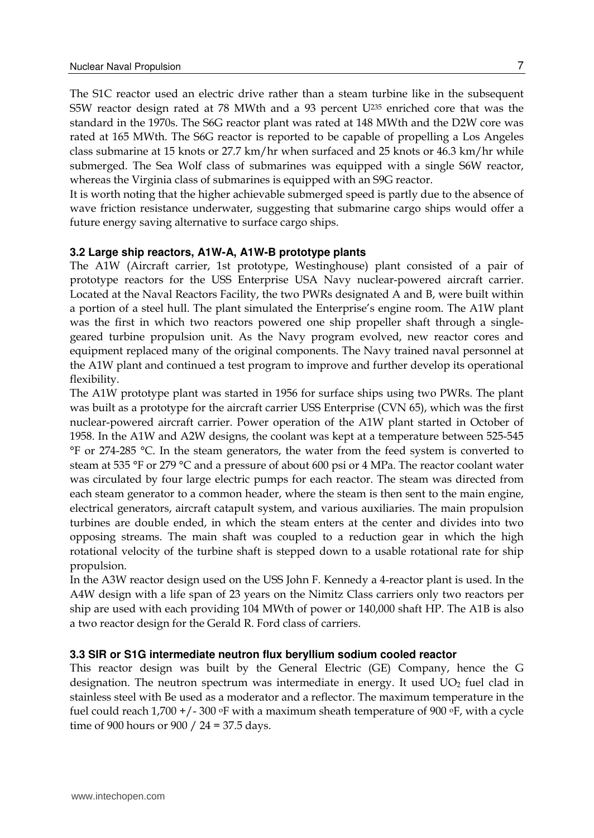The S1C reactor used an electric drive rather than a steam turbine like in the subsequent S5W reactor design rated at 78 MWth and a 93 percent U235 enriched core that was the standard in the 1970s. The S6G reactor plant was rated at 148 MWth and the D2W core was rated at 165 MWth. The S6G reactor is reported to be capable of propelling a Los Angeles class submarine at 15 knots or 27.7 km/hr when surfaced and 25 knots or 46.3 km/hr while submerged. The Sea Wolf class of submarines was equipped with a single S6W reactor, whereas the Virginia class of submarines is equipped with an S9G reactor.

It is worth noting that the higher achievable submerged speed is partly due to the absence of wave friction resistance underwater, suggesting that submarine cargo ships would offer a future energy saving alternative to surface cargo ships.

#### **3.2 Large ship reactors, A1W-A, A1W-B prototype plants**

The A1W (Aircraft carrier, 1st prototype, Westinghouse) plant consisted of a pair of prototype reactors for the USS Enterprise USA Navy nuclear-powered aircraft carrier. Located at the Naval Reactors Facility, the two PWRs designated A and B, were built within a portion of a steel hull. The plant simulated the Enterprise's engine room. The A1W plant was the first in which two reactors powered one ship propeller shaft through a singlegeared turbine propulsion unit. As the Navy program evolved, new reactor cores and equipment replaced many of the original components. The Navy trained naval personnel at the A1W plant and continued a test program to improve and further develop its operational flexibility.

The A1W prototype plant was started in 1956 for surface ships using two PWRs. The plant was built as a prototype for the aircraft carrier USS Enterprise (CVN 65), which was the first nuclear-powered aircraft carrier. Power operation of the A1W plant started in October of 1958. In the A1W and A2W designs, the coolant was kept at a temperature between 525-545 °F or 274-285 °C. In the steam generators, the water from the feed system is converted to steam at 535 °F or 279 °C and a pressure of about 600 psi or 4 MPa. The reactor coolant water was circulated by four large electric pumps for each reactor. The steam was directed from each steam generator to a common header, where the steam is then sent to the main engine, electrical generators, aircraft catapult system, and various auxiliaries. The main propulsion turbines are double ended, in which the steam enters at the center and divides into two opposing streams. The main shaft was coupled to a reduction gear in which the high rotational velocity of the turbine shaft is stepped down to a usable rotational rate for ship propulsion.

In the A3W reactor design used on the USS John F. Kennedy a 4-reactor plant is used. In the A4W design with a life span of 23 years on the Nimitz Class carriers only two reactors per ship are used with each providing 104 MWth of power or 140,000 shaft HP. The A1B is also a two reactor design for the Gerald R. Ford class of carriers.

## **3.3 SIR or S1G intermediate neutron flux beryllium sodium cooled reactor**

This reactor design was built by the General Electric (GE) Company, hence the G designation. The neutron spectrum was intermediate in energy. It used  $UO<sub>2</sub>$  fuel clad in stainless steel with Be used as a moderator and a reflector. The maximum temperature in the fuel could reach 1,700 +/- 300  $\text{F}$  with a maximum sheath temperature of 900  $\text{F}$ , with a cycle time of 900 hours or 900 / 24 = 37.5 days.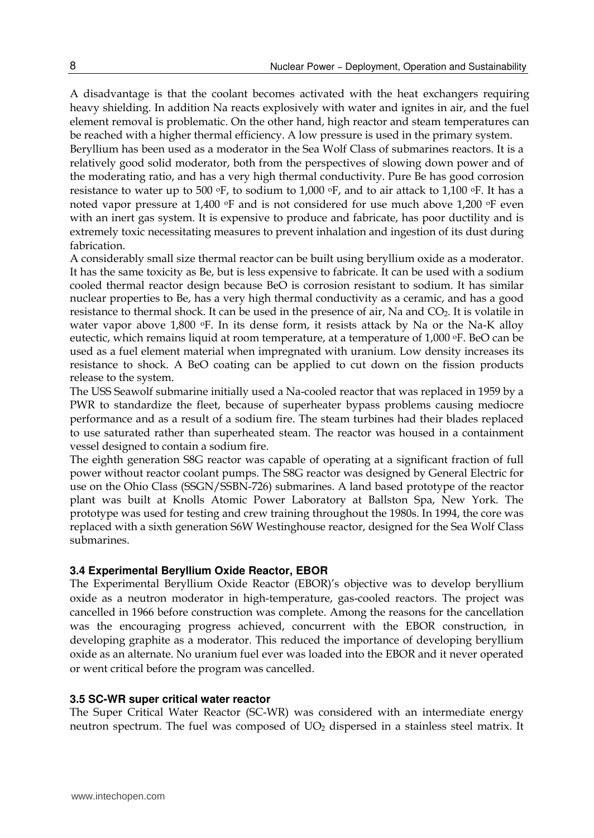A disadvantage is that the coolant becomes activated with the heat exchangers requiring heavy shielding. In addition Na reacts explosively with water and ignites in air, and the fuel element removal is problematic. On the other hand, high reactor and steam temperatures can be reached with a higher thermal efficiency. A low pressure is used in the primary system.

Beryllium has been used as a moderator in the Sea Wolf Class of submarines reactors. It is a relatively good solid moderator, both from the perspectives of slowing down power and of the moderating ratio, and has a very high thermal conductivity. Pure Be has good corrosion resistance to water up to 500  $\text{o}$ F, to sodium to 1,000  $\text{o}$ F, and to air attack to 1,100  $\text{o}$ F. It has a noted vapor pressure at 1,400  $\textdegree$ F and is not considered for use much above 1,200  $\textdegree$ F even with an inert gas system. It is expensive to produce and fabricate, has poor ductility and is extremely toxic necessitating measures to prevent inhalation and ingestion of its dust during fabrication.

A considerably small size thermal reactor can be built using beryllium oxide as a moderator. It has the same toxicity as Be, but is less expensive to fabricate. It can be used with a sodium cooled thermal reactor design because BeO is corrosion resistant to sodium. It has similar nuclear properties to Be, has a very high thermal conductivity as a ceramic, and has a good resistance to thermal shock. It can be used in the presence of air, Na and CO2. It is volatile in water vapor above  $1,800$  of. In its dense form, it resists attack by Na or the Na-K alloy eutectic, which remains liquid at room temperature, at a temperature of  $1,000$  °F. BeO can be used as a fuel element material when impregnated with uranium. Low density increases its resistance to shock. A BeO coating can be applied to cut down on the fission products release to the system.

The USS Seawolf submarine initially used a Na-cooled reactor that was replaced in 1959 by a PWR to standardize the fleet, because of superheater bypass problems causing mediocre performance and as a result of a sodium fire. The steam turbines had their blades replaced to use saturated rather than superheated steam. The reactor was housed in a containment vessel designed to contain a sodium fire.

The eighth generation S8G reactor was capable of operating at a significant fraction of full power without reactor coolant pumps. The S8G reactor was designed by General Electric for use on the Ohio Class (SSGN/SSBN-726) submarines. A land based prototype of the reactor plant was built at Knolls Atomic Power Laboratory at Ballston Spa, New York. The prototype was used for testing and crew training throughout the 1980s. In 1994, the core was replaced with a sixth generation S6W Westinghouse reactor, designed for the Sea Wolf Class submarines.

## **3.4 Experimental Beryllium Oxide Reactor, EBOR**

The Experimental Beryllium Oxide Reactor (EBOR)'s objective was to develop beryllium oxide as a neutron moderator in high-temperature, gas-cooled reactors. The project was cancelled in 1966 before construction was complete. Among the reasons for the cancellation was the encouraging progress achieved, concurrent with the EBOR construction, in developing graphite as a moderator. This reduced the importance of developing beryllium oxide as an alternate. No uranium fuel ever was loaded into the EBOR and it never operated or went critical before the program was cancelled.

## **3.5 SC-WR super critical water reactor**

The Super Critical Water Reactor (SC-WR) was considered with an intermediate energy neutron spectrum. The fuel was composed of  $UO<sub>2</sub>$  dispersed in a stainless steel matrix. It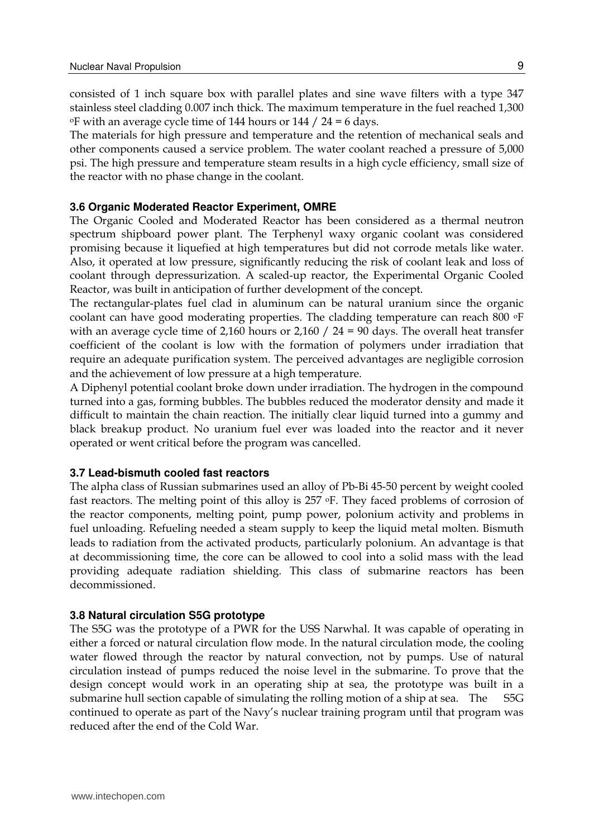consisted of 1 inch square box with parallel plates and sine wave filters with a type 347 stainless steel cladding 0.007 inch thick. The maximum temperature in the fuel reached 1,300  $\textdegree$ F with an average cycle time of 144 hours or 144 / 24 = 6 days.

The materials for high pressure and temperature and the retention of mechanical seals and other components caused a service problem. The water coolant reached a pressure of 5,000 psi. The high pressure and temperature steam results in a high cycle efficiency, small size of the reactor with no phase change in the coolant.

#### **3.6 Organic Moderated Reactor Experiment, OMRE**

The Organic Cooled and Moderated Reactor has been considered as a thermal neutron spectrum shipboard power plant. The Terphenyl waxy organic coolant was considered promising because it liquefied at high temperatures but did not corrode metals like water. Also, it operated at low pressure, significantly reducing the risk of coolant leak and loss of coolant through depressurization. A scaled-up reactor, the Experimental Organic Cooled Reactor, was built in anticipation of further development of the concept.

The rectangular-plates fuel clad in aluminum can be natural uranium since the organic coolant can have good moderating properties. The cladding temperature can reach 800 oF with an average cycle time of 2,160 hours or 2,160 /  $24 = 90$  days. The overall heat transfer coefficient of the coolant is low with the formation of polymers under irradiation that require an adequate purification system. The perceived advantages are negligible corrosion and the achievement of low pressure at a high temperature.

A Diphenyl potential coolant broke down under irradiation. The hydrogen in the compound turned into a gas, forming bubbles. The bubbles reduced the moderator density and made it difficult to maintain the chain reaction. The initially clear liquid turned into a gummy and black breakup product. No uranium fuel ever was loaded into the reactor and it never operated or went critical before the program was cancelled.

#### **3.7 Lead-bismuth cooled fast reactors**

The alpha class of Russian submarines used an alloy of Pb-Bi 45-50 percent by weight cooled fast reactors. The melting point of this alloy is 257  $\Phi$ . They faced problems of corrosion of the reactor components, melting point, pump power, polonium activity and problems in fuel unloading. Refueling needed a steam supply to keep the liquid metal molten. Bismuth leads to radiation from the activated products, particularly polonium. An advantage is that at decommissioning time, the core can be allowed to cool into a solid mass with the lead providing adequate radiation shielding. This class of submarine reactors has been decommissioned.

#### **3.8 Natural circulation S5G prototype**

The S5G was the prototype of a PWR for the USS Narwhal. It was capable of operating in either a forced or natural circulation flow mode. In the natural circulation mode, the cooling water flowed through the reactor by natural convection, not by pumps. Use of natural circulation instead of pumps reduced the noise level in the submarine. To prove that the design concept would work in an operating ship at sea, the prototype was built in a submarine hull section capable of simulating the rolling motion of a ship at sea. The S5G continued to operate as part of the Navy's nuclear training program until that program was reduced after the end of the Cold War.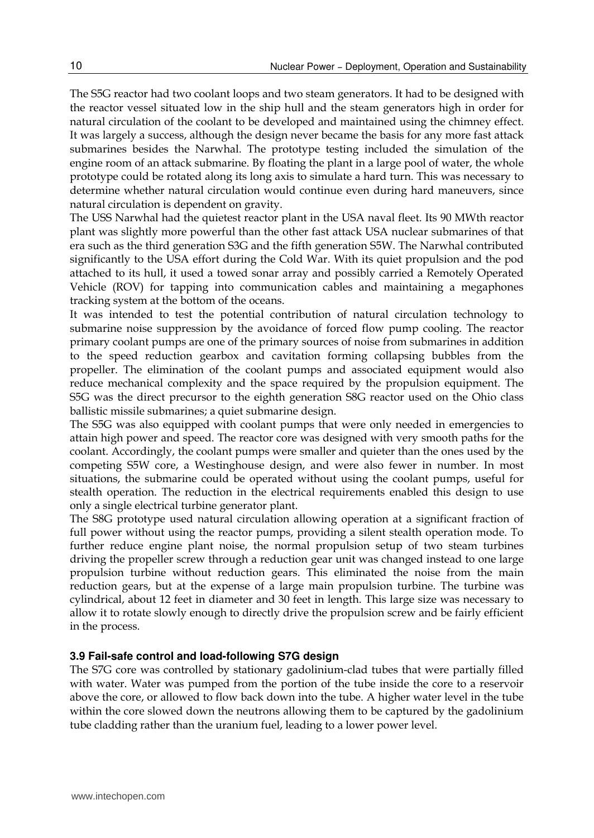The S5G reactor had two coolant loops and two steam generators. It had to be designed with the reactor vessel situated low in the ship hull and the steam generators high in order for natural circulation of the coolant to be developed and maintained using the chimney effect. It was largely a success, although the design never became the basis for any more fast attack submarines besides the Narwhal. The prototype testing included the simulation of the engine room of an attack submarine. By floating the plant in a large pool of water, the whole prototype could be rotated along its long axis to simulate a hard turn. This was necessary to determine whether natural circulation would continue even during hard maneuvers, since natural circulation is dependent on gravity.

The USS Narwhal had the quietest reactor plant in the USA naval fleet. Its 90 MWth reactor plant was slightly more powerful than the other fast attack USA nuclear submarines of that era such as the third generation S3G and the fifth generation S5W. The Narwhal contributed significantly to the USA effort during the Cold War. With its quiet propulsion and the pod attached to its hull, it used a towed sonar array and possibly carried a Remotely Operated Vehicle (ROV) for tapping into communication cables and maintaining a megaphones tracking system at the bottom of the oceans.

It was intended to test the potential contribution of natural circulation technology to submarine noise suppression by the avoidance of forced flow pump cooling. The reactor primary coolant pumps are one of the primary sources of noise from submarines in addition to the speed reduction gearbox and cavitation forming collapsing bubbles from the propeller. The elimination of the coolant pumps and associated equipment would also reduce mechanical complexity and the space required by the propulsion equipment. The S5G was the direct precursor to the eighth generation S8G reactor used on the Ohio class ballistic missile submarines; a quiet submarine design.

The S5G was also equipped with coolant pumps that were only needed in emergencies to attain high power and speed. The reactor core was designed with very smooth paths for the coolant. Accordingly, the coolant pumps were smaller and quieter than the ones used by the competing S5W core, a Westinghouse design, and were also fewer in number. In most situations, the submarine could be operated without using the coolant pumps, useful for stealth operation. The reduction in the electrical requirements enabled this design to use only a single electrical turbine generator plant.

The S8G prototype used natural circulation allowing operation at a significant fraction of full power without using the reactor pumps, providing a silent stealth operation mode. To further reduce engine plant noise, the normal propulsion setup of two steam turbines driving the propeller screw through a reduction gear unit was changed instead to one large propulsion turbine without reduction gears. This eliminated the noise from the main reduction gears, but at the expense of a large main propulsion turbine. The turbine was cylindrical, about 12 feet in diameter and 30 feet in length. This large size was necessary to allow it to rotate slowly enough to directly drive the propulsion screw and be fairly efficient in the process.

## **3.9 Fail-safe control and load-following S7G design**

The S7G core was controlled by stationary gadolinium-clad tubes that were partially filled with water. Water was pumped from the portion of the tube inside the core to a reservoir above the core, or allowed to flow back down into the tube. A higher water level in the tube within the core slowed down the neutrons allowing them to be captured by the gadolinium tube cladding rather than the uranium fuel, leading to a lower power level.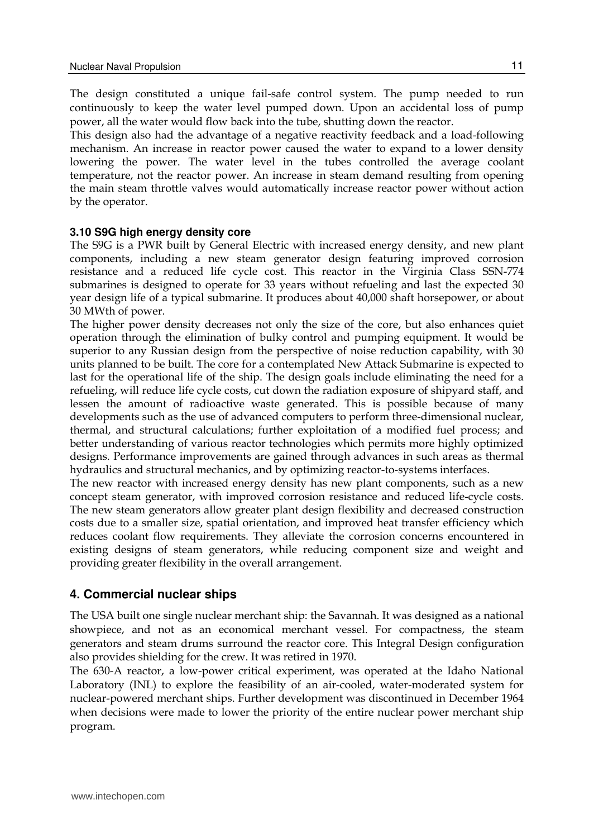The design constituted a unique fail-safe control system. The pump needed to run continuously to keep the water level pumped down. Upon an accidental loss of pump power, all the water would flow back into the tube, shutting down the reactor.

This design also had the advantage of a negative reactivity feedback and a load-following mechanism. An increase in reactor power caused the water to expand to a lower density lowering the power. The water level in the tubes controlled the average coolant temperature, not the reactor power. An increase in steam demand resulting from opening the main steam throttle valves would automatically increase reactor power without action by the operator.

#### **3.10 S9G high energy density core**

The S9G is a PWR built by General Electric with increased energy density, and new plant components, including a new steam generator design featuring improved corrosion resistance and a reduced life cycle cost. This reactor in the Virginia Class SSN-774 submarines is designed to operate for 33 years without refueling and last the expected 30 year design life of a typical submarine. It produces about 40,000 shaft horsepower, or about 30 MWth of power.

The higher power density decreases not only the size of the core, but also enhances quiet operation through the elimination of bulky control and pumping equipment. It would be superior to any Russian design from the perspective of noise reduction capability, with 30 units planned to be built. The core for a contemplated New Attack Submarine is expected to last for the operational life of the ship. The design goals include eliminating the need for a refueling, will reduce life cycle costs, cut down the radiation exposure of shipyard staff, and lessen the amount of radioactive waste generated. This is possible because of many developments such as the use of advanced computers to perform three-dimensional nuclear, thermal, and structural calculations; further exploitation of a modified fuel process; and better understanding of various reactor technologies which permits more highly optimized designs. Performance improvements are gained through advances in such areas as thermal hydraulics and structural mechanics, and by optimizing reactor-to-systems interfaces.

The new reactor with increased energy density has new plant components, such as a new concept steam generator, with improved corrosion resistance and reduced life-cycle costs. The new steam generators allow greater plant design flexibility and decreased construction costs due to a smaller size, spatial orientation, and improved heat transfer efficiency which reduces coolant flow requirements. They alleviate the corrosion concerns encountered in existing designs of steam generators, while reducing component size and weight and providing greater flexibility in the overall arrangement.

## **4. Commercial nuclear ships**

The USA built one single nuclear merchant ship: the Savannah. It was designed as a national showpiece, and not as an economical merchant vessel. For compactness, the steam generators and steam drums surround the reactor core. This Integral Design configuration also provides shielding for the crew. It was retired in 1970.

The 630-A reactor, a low-power critical experiment, was operated at the Idaho National Laboratory (INL) to explore the feasibility of an air-cooled, water-moderated system for nuclear-powered merchant ships. Further development was discontinued in December 1964 when decisions were made to lower the priority of the entire nuclear power merchant ship program.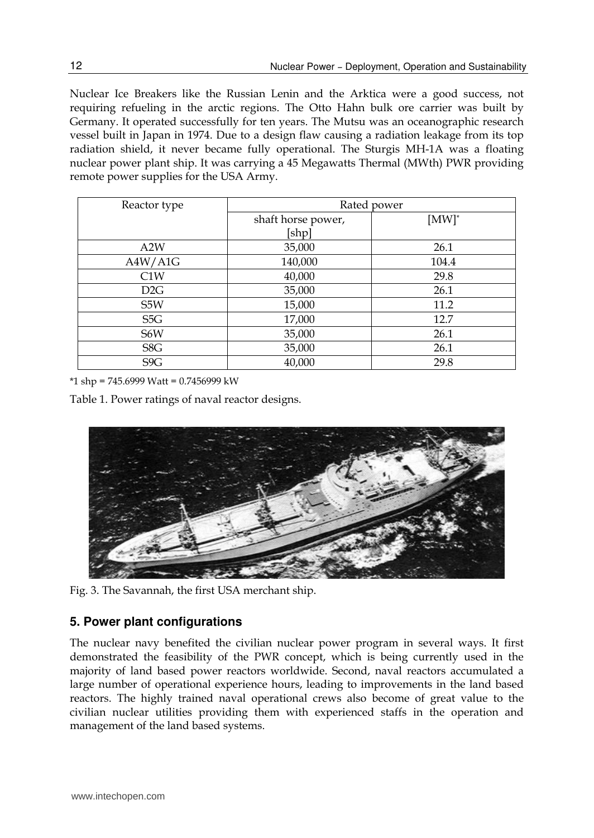Nuclear Ice Breakers like the Russian Lenin and the Arktica were a good success, not requiring refueling in the arctic regions. The Otto Hahn bulk ore carrier was built by Germany. It operated successfully for ten years. The Mutsu was an oceanographic research vessel built in Japan in 1974. Due to a design flaw causing a radiation leakage from its top radiation shield, it never became fully operational. The Sturgis MH-1A was a floating nuclear power plant ship. It was carrying a 45 Megawatts Thermal (MWth) PWR providing remote power supplies for the USA Army.

| Reactor type     | Rated power        |          |
|------------------|--------------------|----------|
|                  | shaft horse power, | $[MW]^*$ |
|                  | [shp]              |          |
| A <sub>2</sub> W | 35,000             | 26.1     |
| A4W/ A1G         | 140,000            | 104.4    |
| C <sub>1</sub> W | 40,000             | 29.8     |
| D2G              | 35,000             | 26.1     |
| S5W              | 15,000             | 11.2     |
| S <sub>5</sub> G | 17,000             | 12.7     |
| S6W              | 35,000             | 26.1     |
| S8G              | 35,000             | 26.1     |
| S9G              | 40,000             | 29.8     |

 $*1$  shp = 745.6999 Watt = 0.7456999 kW

Table 1. Power ratings of naval reactor designs.



Fig. 3. The Savannah, the first USA merchant ship.

## **5. Power plant configurations**

The nuclear navy benefited the civilian nuclear power program in several ways. It first demonstrated the feasibility of the PWR concept, which is being currently used in the majority of land based power reactors worldwide. Second, naval reactors accumulated a large number of operational experience hours, leading to improvements in the land based reactors. The highly trained naval operational crews also become of great value to the civilian nuclear utilities providing them with experienced staffs in the operation and management of the land based systems.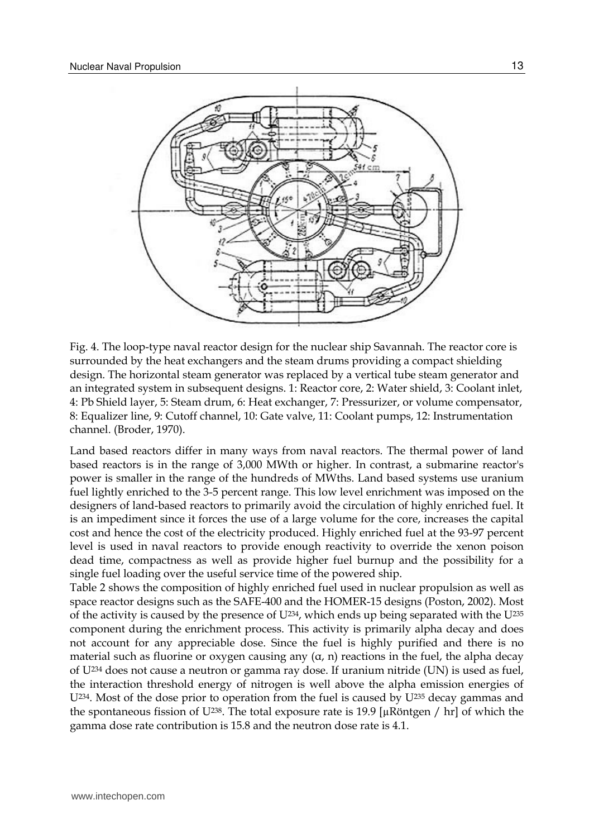

Fig. 4. The loop-type naval reactor design for the nuclear ship Savannah. The reactor core is surrounded by the heat exchangers and the steam drums providing a compact shielding design. The horizontal steam generator was replaced by a vertical tube steam generator and an integrated system in subsequent designs. 1: Reactor core, 2: Water shield, 3: Coolant inlet, 4: Pb Shield layer, 5: Steam drum, 6: Heat exchanger, 7: Pressurizer, or volume compensator, 8: Equalizer line, 9: Cutoff channel, 10: Gate valve, 11: Coolant pumps, 12: Instrumentation channel. (Broder, 1970).

Land based reactors differ in many ways from naval reactors. The thermal power of land based reactors is in the range of 3,000 MWth or higher. In contrast, a submarine reactor's power is smaller in the range of the hundreds of MWths. Land based systems use uranium fuel lightly enriched to the 3-5 percent range. This low level enrichment was imposed on the designers of land-based reactors to primarily avoid the circulation of highly enriched fuel. It is an impediment since it forces the use of a large volume for the core, increases the capital cost and hence the cost of the electricity produced. Highly enriched fuel at the 93-97 percent level is used in naval reactors to provide enough reactivity to override the xenon poison dead time, compactness as well as provide higher fuel burnup and the possibility for a single fuel loading over the useful service time of the powered ship.

Table 2 shows the composition of highly enriched fuel used in nuclear propulsion as well as space reactor designs such as the SAFE-400 and the HOMER-15 designs (Poston, 2002). Most of the activity is caused by the presence of  $U^{234}$ , which ends up being separated with the  $U^{235}$ component during the enrichment process. This activity is primarily alpha decay and does not account for any appreciable dose. Since the fuel is highly purified and there is no material such as fluorine or oxygen causing any  $(\alpha, n)$  reactions in the fuel, the alpha decay of U234 does not cause a neutron or gamma ray dose. If uranium nitride (UN) is used as fuel, the interaction threshold energy of nitrogen is well above the alpha emission energies of U<sup>234</sup>. Most of the dose prior to operation from the fuel is caused by U<sup>235</sup> decay gammas and the spontaneous fission of U<sup>238</sup>. The total exposure rate is 19.9 [µRöntgen / hr] of which the gamma dose rate contribution is 15.8 and the neutron dose rate is 4.1.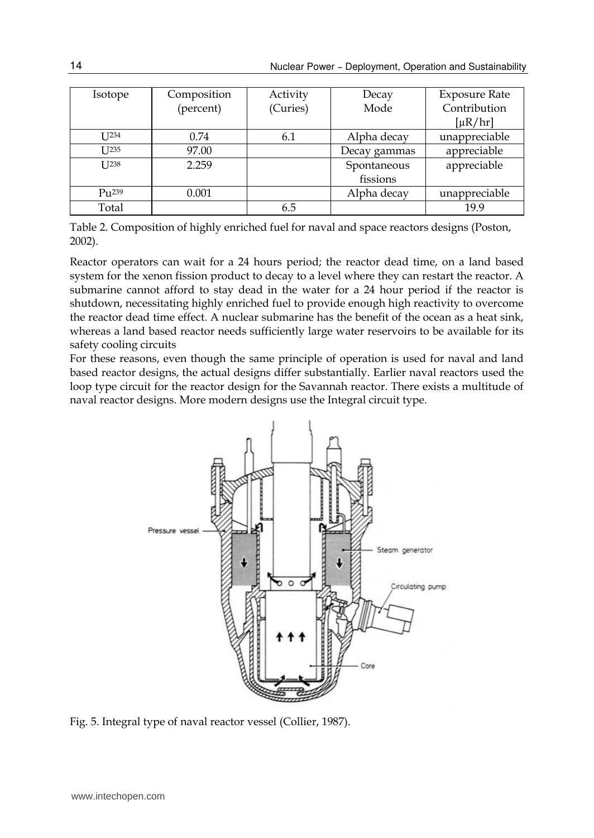| <b>Isotope</b> | Composition<br>(percent) | Activity<br>(Curies) | Decay<br>Mode | <b>Exposure Rate</b><br>Contribution<br>$[\mu R/hr]$ |
|----------------|--------------------------|----------------------|---------------|------------------------------------------------------|
|                |                          |                      |               |                                                      |
| <b>I</b> J234  | 0.74                     | 6.1                  | Alpha decay   | unappreciable                                        |
| <b>I</b> J235  | 97.00                    |                      | Decay gammas  | appreciable                                          |
| <b>I</b> J238  | 2.259                    |                      | Spontaneous   | appreciable                                          |
|                |                          |                      | fissions      |                                                      |
| $P_{11}$ 239   | 0.001                    |                      | Alpha decay   | unappreciable                                        |
| Total          |                          | 6.5                  |               | 19.9                                                 |

Table 2. Composition of highly enriched fuel for naval and space reactors designs (Poston, 2002).

Reactor operators can wait for a 24 hours period; the reactor dead time, on a land based system for the xenon fission product to decay to a level where they can restart the reactor. A submarine cannot afford to stay dead in the water for a 24 hour period if the reactor is shutdown, necessitating highly enriched fuel to provide enough high reactivity to overcome the reactor dead time effect. A nuclear submarine has the benefit of the ocean as a heat sink, whereas a land based reactor needs sufficiently large water reservoirs to be available for its safety cooling circuits

For these reasons, even though the same principle of operation is used for naval and land based reactor designs, the actual designs differ substantially. Earlier naval reactors used the loop type circuit for the reactor design for the Savannah reactor. There exists a multitude of naval reactor designs. More modern designs use the Integral circuit type.



Fig. 5. Integral type of naval reactor vessel (Collier, 1987).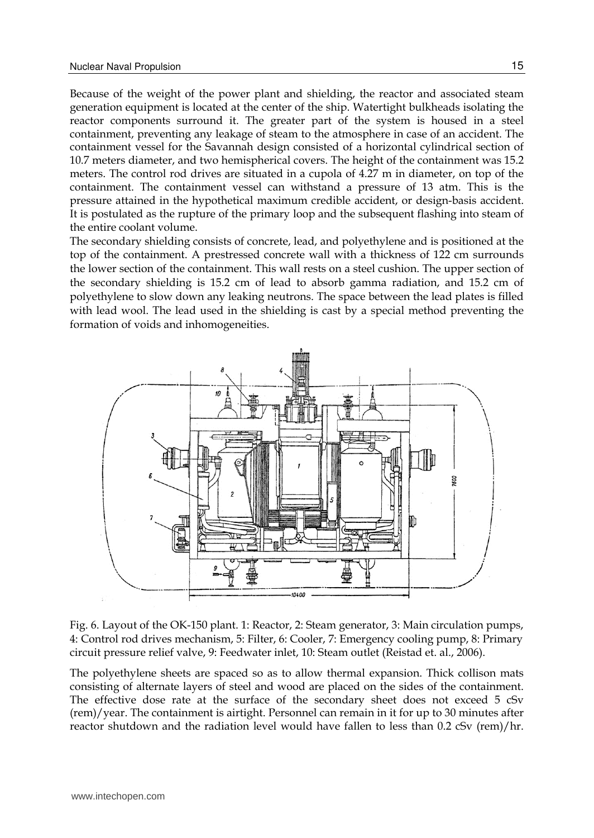Because of the weight of the power plant and shielding, the reactor and associated steam generation equipment is located at the center of the ship. Watertight bulkheads isolating the reactor components surround it. The greater part of the system is housed in a steel containment, preventing any leakage of steam to the atmosphere in case of an accident. The containment vessel for the Savannah design consisted of a horizontal cylindrical section of 10.7 meters diameter, and two hemispherical covers. The height of the containment was 15.2 meters. The control rod drives are situated in a cupola of 4.27 m in diameter, on top of the containment. The containment vessel can withstand a pressure of 13 atm. This is the pressure attained in the hypothetical maximum credible accident, or design-basis accident. It is postulated as the rupture of the primary loop and the subsequent flashing into steam of the entire coolant volume.

The secondary shielding consists of concrete, lead, and polyethylene and is positioned at the top of the containment. A prestressed concrete wall with a thickness of 122 cm surrounds the lower section of the containment. This wall rests on a steel cushion. The upper section of the secondary shielding is 15.2 cm of lead to absorb gamma radiation, and 15.2 cm of polyethylene to slow down any leaking neutrons. The space between the lead plates is filled with lead wool. The lead used in the shielding is cast by a special method preventing the formation of voids and inhomogeneities.



Fig. 6. Layout of the OK-150 plant. 1: Reactor, 2: Steam generator, 3: Main circulation pumps, 4: Control rod drives mechanism, 5: Filter, 6: Cooler, 7: Emergency cooling pump, 8: Primary circuit pressure relief valve, 9: Feedwater inlet, 10: Steam outlet (Reistad et. al., 2006).

The polyethylene sheets are spaced so as to allow thermal expansion. Thick collison mats consisting of alternate layers of steel and wood are placed on the sides of the containment. The effective dose rate at the surface of the secondary sheet does not exceed 5 cSv (rem)/year. The containment is airtight. Personnel can remain in it for up to 30 minutes after reactor shutdown and the radiation level would have fallen to less than 0.2 cSv (rem)/hr.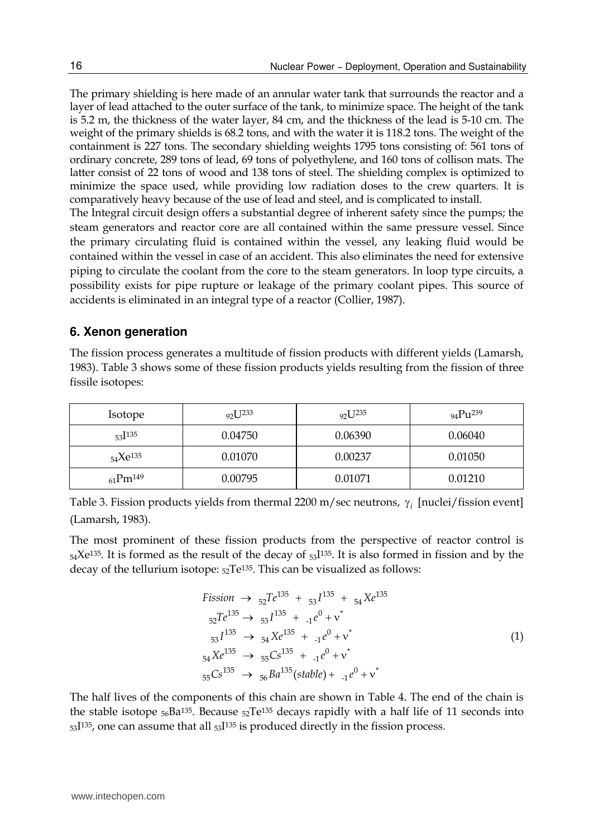The primary shielding is here made of an annular water tank that surrounds the reactor and a layer of lead attached to the outer surface of the tank, to minimize space. The height of the tank is 5.2 m, the thickness of the water layer, 84 cm, and the thickness of the lead is 5-10 cm. The weight of the primary shields is 68.2 tons, and with the water it is 118.2 tons. The weight of the containment is 227 tons. The secondary shielding weights 1795 tons consisting of: 561 tons of ordinary concrete, 289 tons of lead, 69 tons of polyethylene, and 160 tons of collison mats. The latter consist of 22 tons of wood and 138 tons of steel. The shielding complex is optimized to minimize the space used, while providing low radiation doses to the crew quarters. It is comparatively heavy because of the use of lead and steel, and is complicated to install.

The Integral circuit design offers a substantial degree of inherent safety since the pumps; the steam generators and reactor core are all contained within the same pressure vessel. Since the primary circulating fluid is contained within the vessel, any leaking fluid would be contained within the vessel in case of an accident. This also eliminates the need for extensive piping to circulate the coolant from the core to the steam generators. In loop type circuits, a possibility exists for pipe rupture or leakage of the primary coolant pipes. This source of accidents is eliminated in an integral type of a reactor (Collier, 1987).

# **6. Xenon generation**

The fission process generates a multitude of fission products with different yields (Lamarsh, 1983). Table 3 shows some of these fission products yields resulting from the fission of three fissile isotopes:

| <i>s</i> otope         | $92 \times 1233$ | $92 \times 1235$ | $94\mathrm{Pu}^{239}$ |
|------------------------|------------------|------------------|-----------------------|
| $53$ [135              | 0.04750          | 0.06390          | 0.06040               |
| $54Xe^{135}$           | 0.01070          | 0.00237          | 0.01050               |
| $61$ Pm <sup>149</sup> | 0.00795          | 0.01071          | 0.01210               |

Table 3. Fission products yields from thermal 2200 m/sec neutrons,  $\gamma_i$  [nuclei/fission event] (Lamarsh, 1983).

The most prominent of these fission products from the perspective of reactor control is  $_{54}Xe^{135}$ . It is formed as the result of the decay of  $_{53}I^{135}$ . It is also formed in fission and by the decay of the tellurium isotope:  $52Te^{135}$ . This can be visualized as follows:

$$
Fission \rightarrow 52}Te^{135} + 53}I^{135} + 54}Xe^{135}
$$
\n
$$
52}Te^{135} \rightarrow 53}I^{135} + 1e^{0} + v^{*}
$$
\n
$$
53}I^{135} \rightarrow 54}Xe^{135} + 1e^{0} + v^{*}
$$
\n
$$
54}Xe^{135} \rightarrow 55}Cs^{135} + 1e^{0} + v^{*}
$$
\n
$$
55}Cs^{135} \rightarrow 56}Ba^{135}(stable) + 1e^{0} + v^{*}
$$
\n(1)

The half lives of the components of this chain are shown in Table 4. The end of the chain is the stable isotope  $_{56}$ Ba<sup>135</sup>. Because  $_{52}$ Te<sup>135</sup> decays rapidly with a half life of 11 seconds into  $_{53}$ I<sup>135</sup>, one can assume that all  $_{53}$ I<sup>135</sup> is produced directly in the fission process.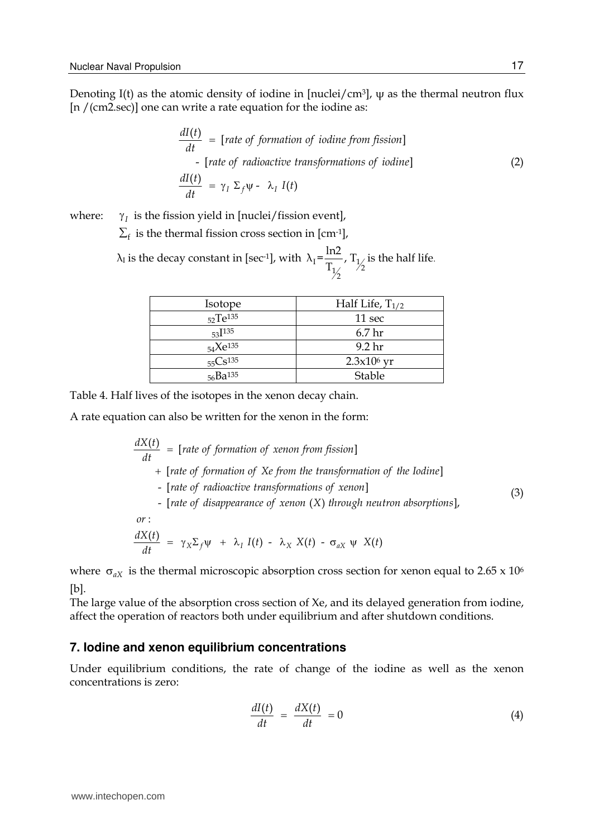Denoting I(t) as the atomic density of iodine in  $[nuclei/cm<sup>3</sup>]$ ,  $\psi$  as the thermal neutron flux [n /(cm2.sec)] one can write a rate equation for the iodine as:

$$
\frac{dI(t)}{dt} = [rate of formation of iodine from fission]
$$
  
- [rate of radioactive transformations of iodine]  

$$
\frac{dI(t)}{dt} = \gamma_I \Sigma_f \Psi - \lambda_I I(t)
$$
 (2)

where: *<sup>I</sup>*  $\gamma_I$  is the fission yield in [nuclei/fission event],

 $\Sigma_f$  is the thermal fission cross section in [cm<sup>-1</sup>],

 $\lambda_I$  is the decay constant in [sec-1], with  $\lambda_I = \frac{HZ}{T_{1/2}}$ ,  $T_{1/2}$  $\lambda_1 = \frac{\ln 2}{T_{1/2}}$ ,  $T_{1/2}$  is the half life.

| Isotope              | Half Life, $T_{1/2}$ |
|----------------------|----------------------|
| $_{52}Te^{135}$      | 11 sec               |
| $53$ <sup>[135</sup> | 6.7 <sub>hr</sub>    |
| $54Xe^{135}$         | 9.2 <sub>hr</sub>    |
| 55Cs <sup>135</sup>  | $2.3x106$ vr         |
| $56Ba^{135}$         | Stable               |

Table 4. Half lives of the isotopes in the xenon decay chain.

A rate equation can also be written for the xenon in the form:

$$
\frac{dX(t)}{dt} = [rate of formation of xenon from fission]
$$
\n
$$
+ [rate of formation of Xe from the transformation of the Iodine]
$$
\n
$$
- [rate of radioactive transformations of xenon]
$$
\n
$$
- [rate of disappearance of xenon (X) through neutron absorptions],
$$
\nor:  
\n
$$
\frac{dX(t)}{dt} = \gamma_X \Sigma_f \psi + \lambda_I I(t) - \lambda_X X(t) - \sigma_{aX} \psi X(t)
$$
\n(3)

where  $\sigma_{aX}$  is the thermal microscopic absorption cross section for xenon equal to 2.65 x 10<sup>6</sup>  $[b]$ .

The large value of the absorption cross section of Xe, and its delayed generation from iodine, affect the operation of reactors both under equilibrium and after shutdown conditions.

#### **7. Iodine and xenon equilibrium concentrations**

Under equilibrium conditions, the rate of change of the iodine as well as the xenon concentrations is zero:

$$
\frac{dI(t)}{dt} = \frac{dX(t)}{dt} = 0
$$
\n(4)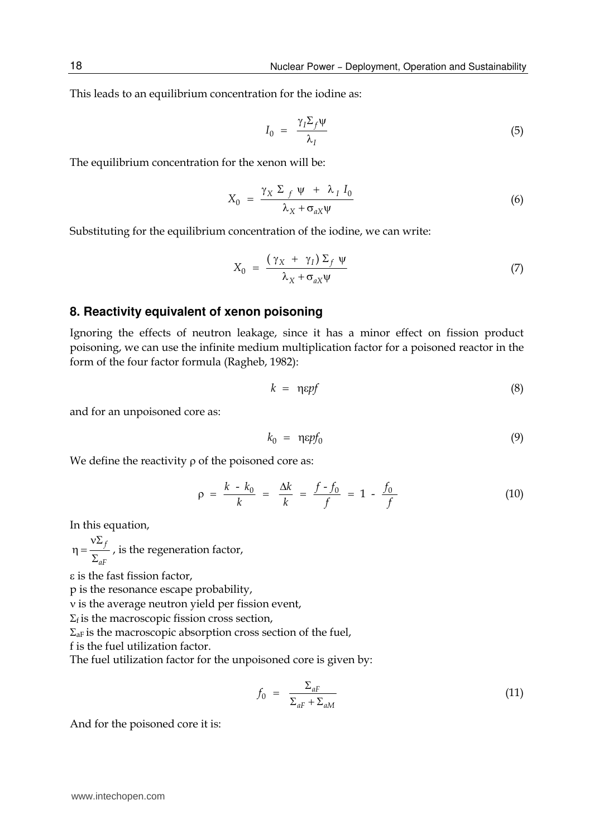This leads to an equilibrium concentration for the iodine as:

$$
I_0 = \frac{\gamma_I \Sigma_f \psi}{\lambda_I} \tag{5}
$$

The equilibrium concentration for the xenon will be:

$$
X_0 = \frac{\gamma_X \sum_f \psi + \lambda_I I_0}{\lambda_X + \sigma_{aX} \psi} \tag{6}
$$

Substituting for the equilibrium concentration of the iodine, we can write:

$$
X_0 = \frac{(\gamma_X + \gamma_I) \Sigma_f \psi}{\lambda_X + \sigma_{aX} \psi} \tag{7}
$$

#### **8. Reactivity equivalent of xenon poisoning**

Ignoring the effects of neutron leakage, since it has a minor effect on fission product poisoning, we can use the infinite medium multiplication factor for a poisoned reactor in the form of the four factor formula (Ragheb, 1982):

$$
k = \eta \varepsilon p f \tag{8}
$$

and for an unpoisoned core as:

$$
k_0 = \eta \varepsilon p f_0 \tag{9}
$$

We define the reactivity  $\rho$  of the poisoned core as:

$$
\rho = \frac{k - k_0}{k} = \frac{\Delta k}{k} = \frac{f - f_0}{f} = 1 - \frac{f_0}{f}
$$
 (10)

In this equation,

*f aF*  $\eta = \frac{v \Sigma_f}{\Sigma_{aF}}$ , is the regeneration factor,

 $\varepsilon$  is the fast fission factor,

p is the resonance escape probability,

v is the average neutron yield per fission event,

 $\Sigma_f$  is the macroscopic fission cross section,

 $\Sigma_{\text{aF}}$  is the macroscopic absorption cross section of the fuel,

f is the fuel utilization factor.

The fuel utilization factor for the unpoisoned core is given by:

$$
f_0 = \frac{\Sigma_{aF}}{\Sigma_{aF} + \Sigma_{aM}}
$$
 (11)

And for the poisoned core it is: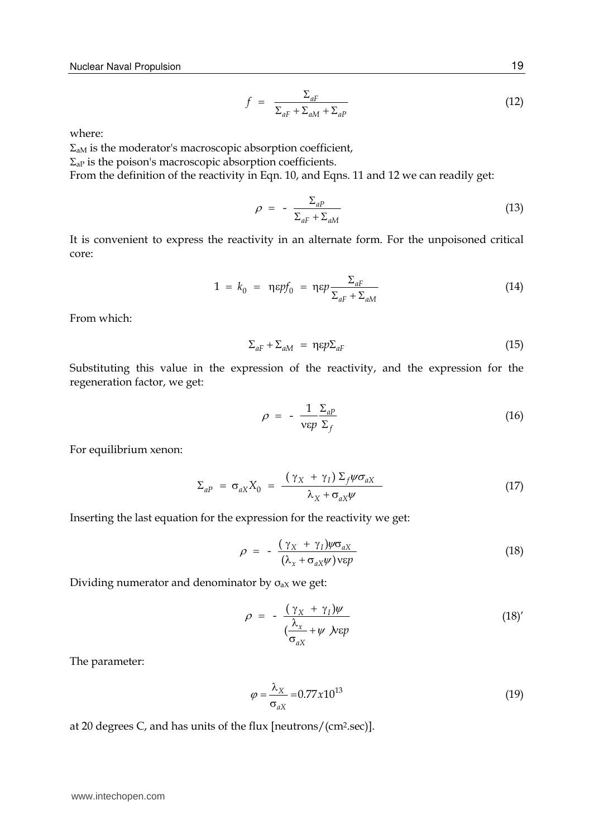$$
f = \frac{\Sigma_{aF}}{\Sigma_{aF} + \Sigma_{aM} + \Sigma_{aP}}
$$
(12)

where:

 $\Sigma_{\text{aM}}$  is the moderator's macroscopic absorption coefficient,

 $\Sigma_{\rm aP}$  is the poison's macroscopic absorption coefficients.

From the definition of the reactivity in Eqn. 10, and Eqns. 11 and 12 we can readily get:

$$
\rho = -\frac{\Sigma_{aP}}{\Sigma_{aF} + \Sigma_{aM}}
$$
\n(13)

It is convenient to express the reactivity in an alternate form. For the unpoisoned critical core:

$$
1 = k_0 = \eta \varepsilon p f_0 = \eta \varepsilon p \frac{\Sigma_{aF}}{\Sigma_{aF} + \Sigma_{aM}}
$$
(14)

From which:

$$
\Sigma_{aF} + \Sigma_{aM} = \eta \varepsilon p \Sigma_{aF} \tag{15}
$$

Substituting this value in the expression of the reactivity, and the expression for the regeneration factor, we get:

$$
\rho = -\frac{1}{\text{vep}} \frac{\Sigma_{aP}}{\Sigma_f} \tag{16}
$$

For equilibrium xenon:

$$
\Sigma_{aP} = \sigma_{aX} X_0 = \frac{(\gamma_X + \gamma_I) \Sigma_f \psi \sigma_{aX}}{\lambda_X + \sigma_{aX} \psi}
$$
(17)

Inserting the last equation for the expression for the reactivity we get:

$$
\rho = -\frac{(\gamma_X + \gamma_I)\psi\sigma_{aX}}{(\lambda_x + \sigma_{aX}\psi)\nu\varepsilon p}
$$
\n(18)

Dividing numerator and denominator by  $\sigma_{aX}$  we get:

$$
\rho = -\frac{(\gamma_X + \gamma_I)\psi}{(\frac{\lambda_X}{\sigma_{aX}} + \psi \text{ Nsp})}
$$
(18)'

The parameter:

$$
\varphi = \frac{\lambda_X}{\sigma_{aX}} = 0.77 \times 10^{13} \tag{19}
$$

at 20 degrees C, and has units of the flux [neutrons/(cm2.sec)].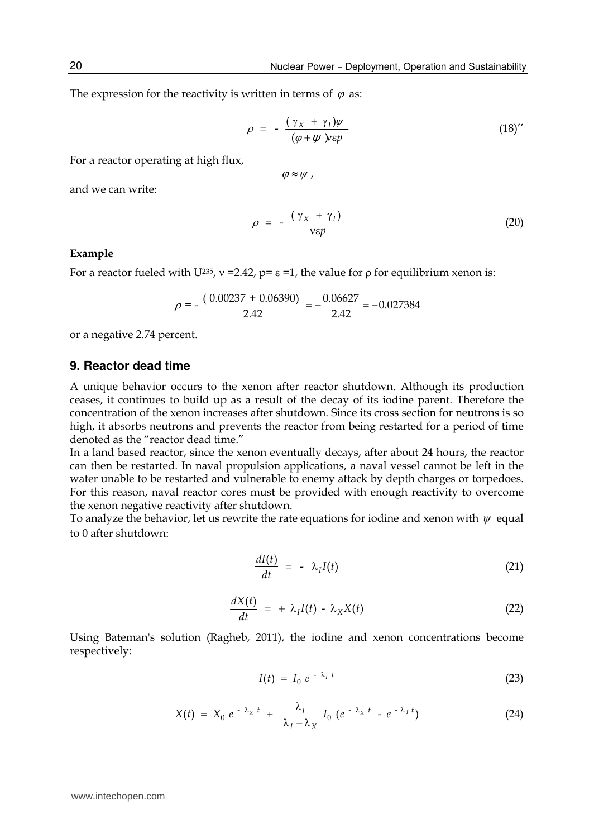The expression for the reactivity is written in terms of  $\varphi$  as:

$$
\rho = -\frac{(\gamma_X + \gamma_I)\psi}{(\varphi + \psi \text{ )sp}}
$$
 (18)

For a reactor operating at high flux,

 $\varphi \approx \psi$ ,

and we can write:

$$
\rho = -\frac{(\gamma_X + \gamma_I)}{v \varepsilon p} \tag{20}
$$

#### **Example**

For a reactor fueled with U<sup>235</sup>,  $v = 2.42$ ,  $p = \varepsilon = 1$ , the value for  $\rho$  for equilibrium xenon is:

$$
\rho = -\frac{(0.00237 + 0.06390)}{2.42} = -\frac{0.06627}{2.42} = -0.027384
$$

or a negative 2.74 percent.

## **9. Reactor dead time**

A unique behavior occurs to the xenon after reactor shutdown. Although its production ceases, it continues to build up as a result of the decay of its iodine parent. Therefore the concentration of the xenon increases after shutdown. Since its cross section for neutrons is so high, it absorbs neutrons and prevents the reactor from being restarted for a period of time denoted as the "reactor dead time."

In a land based reactor, since the xenon eventually decays, after about 24 hours, the reactor can then be restarted. In naval propulsion applications, a naval vessel cannot be left in the water unable to be restarted and vulnerable to enemy attack by depth charges or torpedoes. For this reason, naval reactor cores must be provided with enough reactivity to overcome the xenon negative reactivity after shutdown.

To analyze the behavior, let us rewrite the rate equations for iodine and xenon with  $\nu$  equal to 0 after shutdown:

$$
\frac{dI(t)}{dt} = -\lambda_I I(t) \tag{21}
$$

$$
\frac{dX(t)}{dt} = + \lambda_I I(t) - \lambda_X X(t) \tag{22}
$$

Using Bateman's solution (Ragheb, 2011), the iodine and xenon concentrations become respectively:

$$
I(t) = I_0 e^{-\lambda_l t} \tag{23}
$$

$$
X(t) = X_0 e^{-\lambda_X t} + \frac{\lambda_I}{\lambda_I - \lambda_X} I_0 (e^{-\lambda_X t} - e^{-\lambda_I t})
$$
 (24)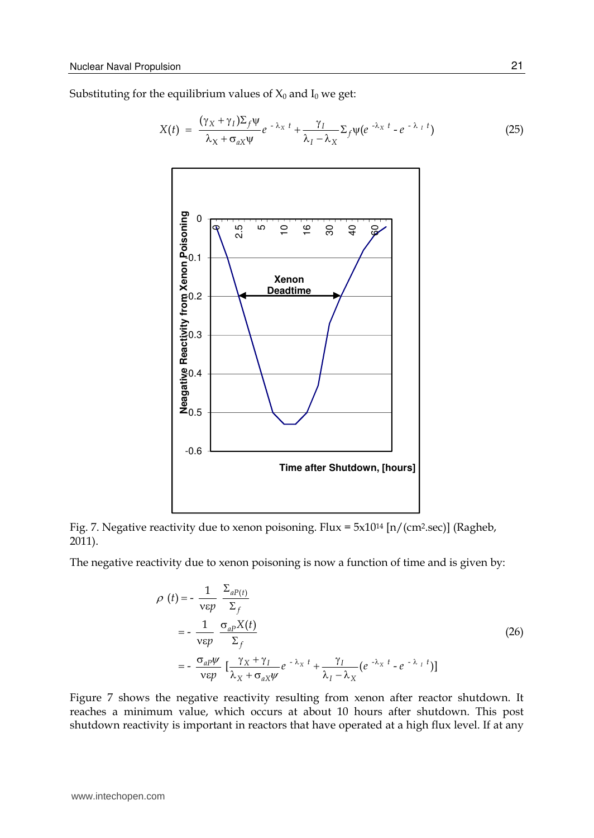Substituting for the equilibrium values of  $X_0$  and  $I_0$  we get:

$$
X(t) = \frac{(\gamma_X + \gamma_I)\Sigma_f \psi}{\lambda_X + \sigma_{aX} \psi} e^{-\lambda_X t} + \frac{\gamma_I}{\lambda_I - \lambda_X} \Sigma_f \psi(e^{-\lambda_X t} - e^{-\lambda_I t})
$$
(25)



Fig. 7. Negative reactivity due to xenon poisoning. Flux =  $5x10^{14}$  [n/(cm<sup>2</sup>.sec)] (Ragheb, 2011).

The negative reactivity due to xenon poisoning is now a function of time and is given by:

$$
\rho(t) = -\frac{1}{v \varepsilon p} \frac{\Sigma_{aP(t)}}{\Sigma_f}
$$
  
= 
$$
-\frac{1}{v \varepsilon p} \frac{\sigma_{aP} X(t)}{\Sigma_f}
$$
  
= 
$$
-\frac{\sigma_{aP} \psi}{v \varepsilon p} \left[ \frac{\gamma_X + \gamma_I}{\lambda_X + \sigma_{aX} \psi} e^{-\lambda_X t} + \frac{\gamma_I}{\lambda_I - \lambda_X} (e^{-\lambda_X t} - e^{-\lambda_I t}) \right]
$$
 (26)

Figure 7 shows the negative reactivity resulting from xenon after reactor shutdown. It reaches a minimum value, which occurs at about 10 hours after shutdown. This post shutdown reactivity is important in reactors that have operated at a high flux level. If at any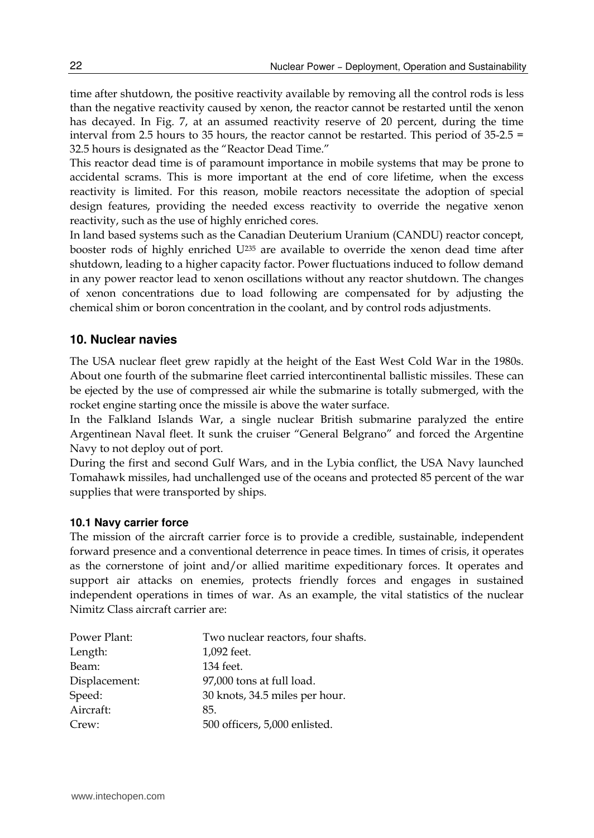time after shutdown, the positive reactivity available by removing all the control rods is less than the negative reactivity caused by xenon, the reactor cannot be restarted until the xenon has decayed. In Fig. 7, at an assumed reactivity reserve of 20 percent, during the time interval from 2.5 hours to 35 hours, the reactor cannot be restarted. This period of  $35{\text -}2.5$  = 32.5 hours is designated as the "Reactor Dead Time."

This reactor dead time is of paramount importance in mobile systems that may be prone to accidental scrams. This is more important at the end of core lifetime, when the excess reactivity is limited. For this reason, mobile reactors necessitate the adoption of special design features, providing the needed excess reactivity to override the negative xenon reactivity, such as the use of highly enriched cores.

In land based systems such as the Canadian Deuterium Uranium (CANDU) reactor concept, booster rods of highly enriched U235 are available to override the xenon dead time after shutdown, leading to a higher capacity factor. Power fluctuations induced to follow demand in any power reactor lead to xenon oscillations without any reactor shutdown. The changes of xenon concentrations due to load following are compensated for by adjusting the chemical shim or boron concentration in the coolant, and by control rods adjustments.

# **10. Nuclear navies**

The USA nuclear fleet grew rapidly at the height of the East West Cold War in the 1980s. About one fourth of the submarine fleet carried intercontinental ballistic missiles. These can be ejected by the use of compressed air while the submarine is totally submerged, with the rocket engine starting once the missile is above the water surface.

In the Falkland Islands War, a single nuclear British submarine paralyzed the entire Argentinean Naval fleet. It sunk the cruiser "General Belgrano" and forced the Argentine Navy to not deploy out of port.

During the first and second Gulf Wars, and in the Lybia conflict, the USA Navy launched Tomahawk missiles, had unchallenged use of the oceans and protected 85 percent of the war supplies that were transported by ships.

## **10.1 Navy carrier force**

The mission of the aircraft carrier force is to provide a credible, sustainable, independent forward presence and a conventional deterrence in peace times. In times of crisis, it operates as the cornerstone of joint and/or allied maritime expeditionary forces. It operates and support air attacks on enemies, protects friendly forces and engages in sustained independent operations in times of war. As an example, the vital statistics of the nuclear Nimitz Class aircraft carrier are:

| Power Plant:  | Two nuclear reactors, four shafts. |
|---------------|------------------------------------|
| Length:       | 1,092 feet.                        |
| Beam:         | 134 feet.                          |
| Displacement: | 97,000 tons at full load.          |
| Speed:        | 30 knots, 34.5 miles per hour.     |
| Aircraft:     | 85.                                |
| Crew:         | 500 officers, 5,000 enlisted.      |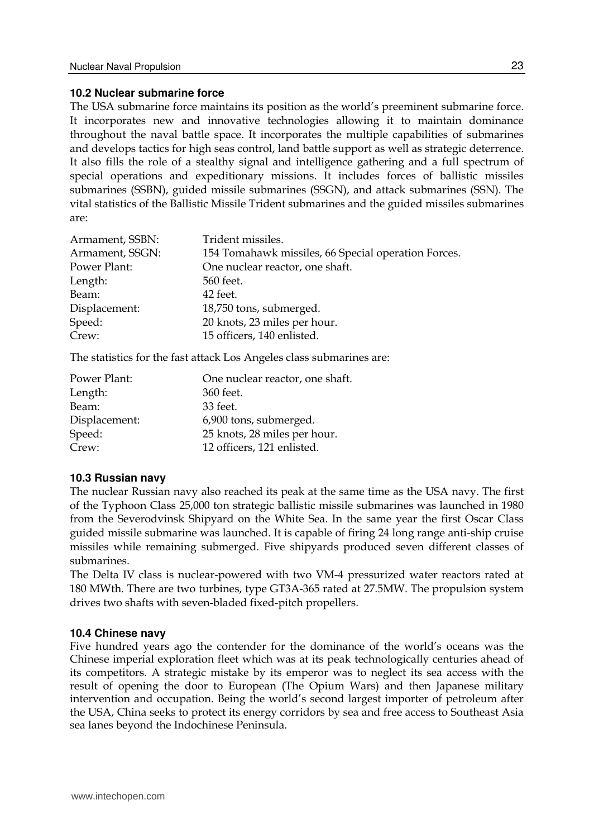#### **10.2 Nuclear submarine force**

The USA submarine force maintains its position as the world's preeminent submarine force. It incorporates new and innovative technologies allowing it to maintain dominance throughout the naval battle space. It incorporates the multiple capabilities of submarines and develops tactics for high seas control, land battle support as well as strategic deterrence. It also fills the role of a stealthy signal and intelligence gathering and a full spectrum of special operations and expeditionary missions. It includes forces of ballistic missiles submarines (SSBN), guided missile submarines (SSGN), and attack submarines (SSN). The vital statistics of the Ballistic Missile Trident submarines and the guided missiles submarines are:

| Armament, SSBN: | Trident missiles.                                   |
|-----------------|-----------------------------------------------------|
| Armament, SSGN: | 154 Tomahawk missiles, 66 Special operation Forces. |
| Power Plant:    | One nuclear reactor, one shaft.                     |
| Length:         | 560 feet.                                           |
| Beam:           | 42 feet.                                            |
| Displacement:   | 18,750 tons, submerged.                             |
| Speed:          | 20 knots, 23 miles per hour.                        |
| Crew:           | 15 officers, 140 enlisted.                          |

The statistics for the fast attack Los Angeles class submarines are:

| Power Plant:  | One nuclear reactor, one shaft. |
|---------------|---------------------------------|
| Length:       | 360 feet.                       |
| Beam:         | 33 feet.                        |
| Displacement: | 6,900 tons, submerged.          |
| Speed:        | 25 knots, 28 miles per hour.    |
| Crew:         | 12 officers, 121 enlisted.      |

## **10.3 Russian navy**

The nuclear Russian navy also reached its peak at the same time as the USA navy. The first of the Typhoon Class 25,000 ton strategic ballistic missile submarines was launched in 1980 from the Severodvinsk Shipyard on the White Sea. In the same year the first Oscar Class guided missile submarine was launched. It is capable of firing 24 long range anti-ship cruise missiles while remaining submerged. Five shipyards produced seven different classes of submarines.

The Delta IV class is nuclear-powered with two VM-4 pressurized water reactors rated at 180 MWth. There are two turbines, type GT3A-365 rated at 27.5MW. The propulsion system drives two shafts with seven-bladed fixed-pitch propellers.

#### **10.4 Chinese navy**

Five hundred years ago the contender for the dominance of the world's oceans was the Chinese imperial exploration fleet which was at its peak technologically centuries ahead of its competitors. A strategic mistake by its emperor was to neglect its sea access with the result of opening the door to European (The Opium Wars) and then Japanese military intervention and occupation. Being the world's second largest importer of petroleum after the USA, China seeks to protect its energy corridors by sea and free access to Southeast Asia sea lanes beyond the Indochinese Peninsula.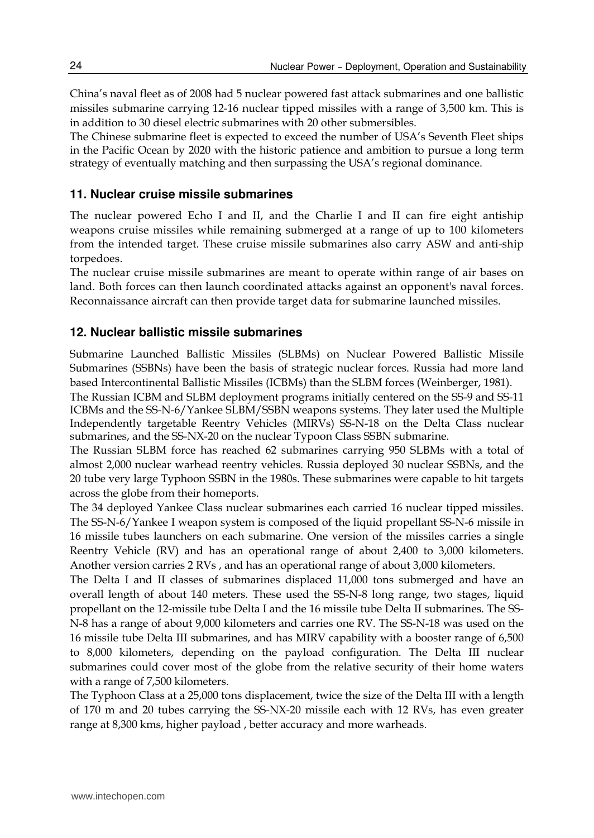China's naval fleet as of 2008 had 5 nuclear powered fast attack submarines and one ballistic missiles submarine carrying 12-16 nuclear tipped missiles with a range of 3,500 km. This is in addition to 30 diesel electric submarines with 20 other submersibles.

The Chinese submarine fleet is expected to exceed the number of USA's Seventh Fleet ships in the Pacific Ocean by 2020 with the historic patience and ambition to pursue a long term strategy of eventually matching and then surpassing the USA's regional dominance.

## **11. Nuclear cruise missile submarines**

The nuclear powered Echo I and II, and the Charlie I and II can fire eight antiship weapons cruise missiles while remaining submerged at a range of up to 100 kilometers from the intended target. These cruise missile submarines also carry ASW and anti-ship torpedoes.

The nuclear cruise missile submarines are meant to operate within range of air bases on land. Both forces can then launch coordinated attacks against an opponent's naval forces. Reconnaissance aircraft can then provide target data for submarine launched missiles.

## **12. Nuclear ballistic missile submarines**

Submarine Launched Ballistic Missiles (SLBMs) on Nuclear Powered Ballistic Missile Submarines (SSBNs) have been the basis of strategic nuclear forces. Russia had more land based Intercontinental Ballistic Missiles (ICBMs) than the SLBM forces (Weinberger, 1981).

The Russian ICBM and SLBM deployment programs initially centered on the SS-9 and SS-11 ICBMs and the SS-N-6/Yankee SLBM/SSBN weapons systems. They later used the Multiple Independently targetable Reentry Vehicles (MIRVs) SS-N-18 on the Delta Class nuclear submarines, and the SS-NX-20 on the nuclear Typoon Class SSBN submarine.

The Russian SLBM force has reached 62 submarines carrying 950 SLBMs with a total of almost 2,000 nuclear warhead reentry vehicles. Russia deployed 30 nuclear SSBNs, and the 20 tube very large Typhoon SSBN in the 1980s. These submarines were capable to hit targets across the globe from their homeports.

The 34 deployed Yankee Class nuclear submarines each carried 16 nuclear tipped missiles. The SS-N-6/Yankee I weapon system is composed of the liquid propellant SS-N-6 missile in 16 missile tubes launchers on each submarine. One version of the missiles carries a single Reentry Vehicle (RV) and has an operational range of about 2,400 to 3,000 kilometers. Another version carries 2 RVs , and has an operational range of about 3,000 kilometers.

The Delta I and II classes of submarines displaced 11,000 tons submerged and have an overall length of about 140 meters. These used the SS-N-8 long range, two stages, liquid propellant on the 12-missile tube Delta I and the 16 missile tube Delta II submarines. The SS-N-8 has a range of about 9,000 kilometers and carries one RV. The SS-N-18 was used on the 16 missile tube Delta III submarines, and has MIRV capability with a booster range of 6,500 to 8,000 kilometers, depending on the payload configuration. The Delta III nuclear submarines could cover most of the globe from the relative security of their home waters with a range of 7,500 kilometers.

The Typhoon Class at a 25,000 tons displacement, twice the size of the Delta III with a length of 170 m and 20 tubes carrying the SS-NX-20 missile each with 12 RVs, has even greater range at 8,300 kms, higher payload , better accuracy and more warheads.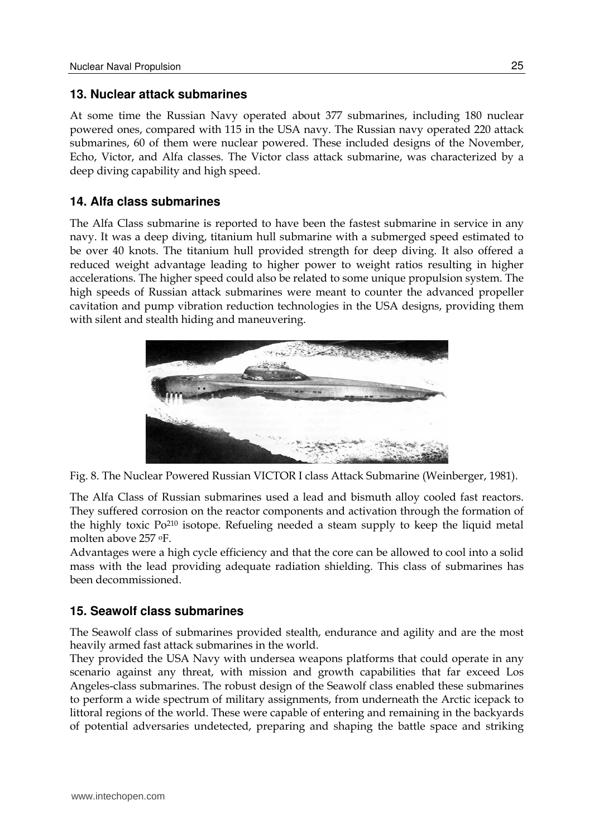## **13. Nuclear attack submarines**

At some time the Russian Navy operated about 377 submarines, including 180 nuclear powered ones, compared with 115 in the USA navy. The Russian navy operated 220 attack submarines, 60 of them were nuclear powered. These included designs of the November, Echo, Victor, and Alfa classes. The Victor class attack submarine, was characterized by a deep diving capability and high speed.

# **14. Alfa class submarines**

The Alfa Class submarine is reported to have been the fastest submarine in service in any navy. It was a deep diving, titanium hull submarine with a submerged speed estimated to be over 40 knots. The titanium hull provided strength for deep diving. It also offered a reduced weight advantage leading to higher power to weight ratios resulting in higher accelerations. The higher speed could also be related to some unique propulsion system. The high speeds of Russian attack submarines were meant to counter the advanced propeller cavitation and pump vibration reduction technologies in the USA designs, providing them with silent and stealth hiding and maneuvering.



Fig. 8. The Nuclear Powered Russian VICTOR I class Attack Submarine (Weinberger, 1981).

The Alfa Class of Russian submarines used a lead and bismuth alloy cooled fast reactors. They suffered corrosion on the reactor components and activation through the formation of the highly toxic Po210 isotope. Refueling needed a steam supply to keep the liquid metal molten above 257 oF.

Advantages were a high cycle efficiency and that the core can be allowed to cool into a solid mass with the lead providing adequate radiation shielding. This class of submarines has been decommissioned.

# **15. Seawolf class submarines**

The Seawolf class of submarines provided stealth, endurance and agility and are the most heavily armed fast attack submarines in the world.

They provided the USA Navy with undersea weapons platforms that could operate in any scenario against any threat, with mission and growth capabilities that far exceed Los Angeles-class submarines. The robust design of the Seawolf class enabled these submarines to perform a wide spectrum of military assignments, from underneath the Arctic icepack to littoral regions of the world. These were capable of entering and remaining in the backyards of potential adversaries undetected, preparing and shaping the battle space and striking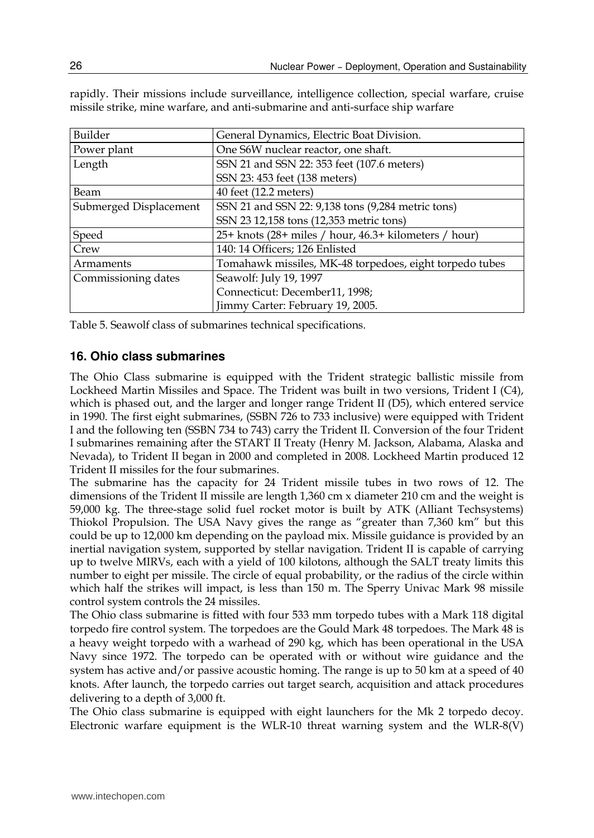| Builder                | General Dynamics, Electric Boat Division.               |
|------------------------|---------------------------------------------------------|
| Power plant            | One S6W nuclear reactor, one shaft.                     |
| Length                 | SSN 21 and SSN 22: 353 feet (107.6 meters)              |
|                        | SSN 23: 453 feet (138 meters)                           |
| Beam                   | 40 feet (12.2 meters)                                   |
| Submerged Displacement | SSN 21 and SSN 22: 9,138 tons (9,284 metric tons)       |
|                        | SSN 23 12,158 tons (12,353 metric tons)                 |
| Speed                  | 25+ knots (28+ miles / hour, 46.3+ kilometers / hour)   |
| Crew                   | 140: 14 Officers; 126 Enlisted                          |
| Armaments              | Tomahawk missiles, MK-48 torpedoes, eight torpedo tubes |
| Commissioning dates    | Seawolf: July 19, 1997                                  |
|                        | Connecticut: December11, 1998;                          |
|                        | Jimmy Carter: February 19, 2005.                        |

rapidly. Their missions include surveillance, intelligence collection, special warfare, cruise missile strike, mine warfare, and anti-submarine and anti-surface ship warfare

Table 5. Seawolf class of submarines technical specifications.

## **16. Ohio class submarines**

The Ohio Class submarine is equipped with the Trident strategic ballistic missile from Lockheed Martin Missiles and Space. The Trident was built in two versions, Trident I (C4), which is phased out, and the larger and longer range Trident II (D5), which entered service in 1990. The first eight submarines, (SSBN 726 to 733 inclusive) were equipped with Trident I and the following ten (SSBN 734 to 743) carry the Trident II. Conversion of the four Trident I submarines remaining after the START II Treaty (Henry M. Jackson, Alabama, Alaska and Nevada), to Trident II began in 2000 and completed in 2008. Lockheed Martin produced 12 Trident II missiles for the four submarines.

The submarine has the capacity for 24 Trident missile tubes in two rows of 12. The dimensions of the Trident II missile are length 1,360 cm x diameter 210 cm and the weight is 59,000 kg. The three-stage solid fuel rocket motor is built by ATK (Alliant Techsystems) Thiokol Propulsion. The USA Navy gives the range as "greater than 7,360 km" but this could be up to 12,000 km depending on the payload mix. Missile guidance is provided by an inertial navigation system, supported by stellar navigation. Trident II is capable of carrying up to twelve MIRVs, each with a yield of 100 kilotons, although the SALT treaty limits this number to eight per missile. The circle of equal probability, or the radius of the circle within which half the strikes will impact, is less than 150 m. The Sperry Univac Mark 98 missile control system controls the 24 missiles.

The Ohio class submarine is fitted with four 533 mm torpedo tubes with a Mark 118 digital torpedo fire control system. The torpedoes are the Gould Mark 48 torpedoes. The Mark 48 is a heavy weight torpedo with a warhead of 290 kg, which has been operational in the USA Navy since 1972. The torpedo can be operated with or without wire guidance and the system has active and/or passive acoustic homing. The range is up to 50 km at a speed of 40 knots. After launch, the torpedo carries out target search, acquisition and attack procedures delivering to a depth of 3,000 ft.

The Ohio class submarine is equipped with eight launchers for the Mk 2 torpedo decoy. Electronic warfare equipment is the WLR-10 threat warning system and the WLR-8(V)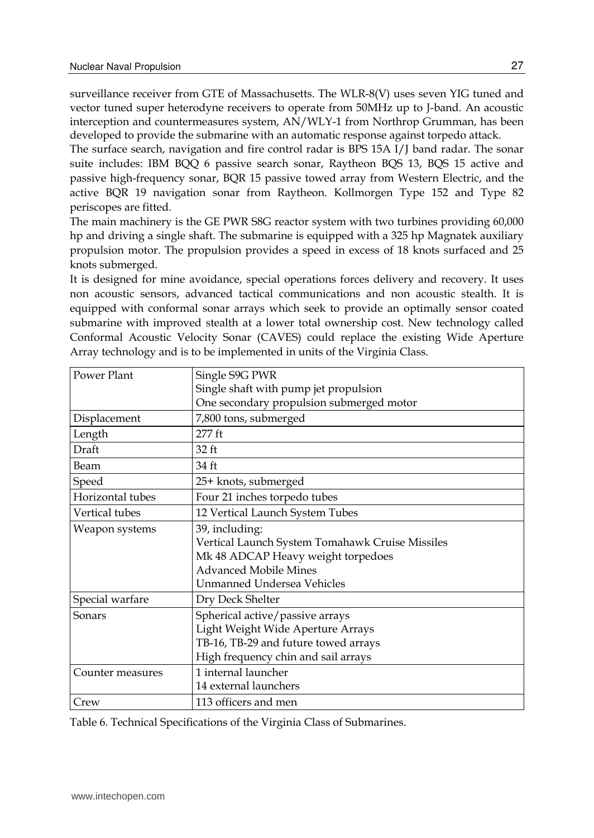surveillance receiver from GTE of Massachusetts. The WLR-8(V) uses seven YIG tuned and vector tuned super heterodyne receivers to operate from 50MHz up to J-band. An acoustic interception and countermeasures system, AN/WLY-1 from Northrop Grumman, has been developed to provide the submarine with an automatic response against torpedo attack.

The surface search, navigation and fire control radar is BPS 15A I/J band radar. The sonar suite includes: IBM BQQ 6 passive search sonar, Raytheon BQS 13, BQS 15 active and passive high-frequency sonar, BQR 15 passive towed array from Western Electric, and the active BQR 19 navigation sonar from Raytheon. Kollmorgen Type 152 and Type 82 periscopes are fitted.

The main machinery is the GE PWR S8G reactor system with two turbines providing 60,000 hp and driving a single shaft. The submarine is equipped with a 325 hp Magnatek auxiliary propulsion motor. The propulsion provides a speed in excess of 18 knots surfaced and 25 knots submerged.

It is designed for mine avoidance, special operations forces delivery and recovery. It uses non acoustic sensors, advanced tactical communications and non acoustic stealth. It is equipped with conformal sonar arrays which seek to provide an optimally sensor coated submarine with improved stealth at a lower total ownership cost. New technology called Conformal Acoustic Velocity Sonar (CAVES) could replace the existing Wide Aperture Array technology and is to be implemented in units of the Virginia Class.

| Power Plant      | Single S9G PWR                                  |
|------------------|-------------------------------------------------|
|                  | Single shaft with pump jet propulsion           |
|                  | One secondary propulsion submerged motor        |
| Displacement     | 7,800 tons, submerged                           |
| Length           | 277 ft                                          |
| Draft            | 32 ft                                           |
| Beam             | 34 ft                                           |
| Speed            | 25+ knots, submerged                            |
| Horizontal tubes | Four 21 inches torpedo tubes                    |
| Vertical tubes   | 12 Vertical Launch System Tubes                 |
| Weapon systems   | 39, including:                                  |
|                  | Vertical Launch System Tomahawk Cruise Missiles |
|                  | Mk 48 ADCAP Heavy weight torpedoes              |
|                  | <b>Advanced Mobile Mines</b>                    |
|                  | Unmanned Undersea Vehicles                      |
| Special warfare  | Dry Deck Shelter                                |
| Sonars           | Spherical active/passive arrays                 |
|                  | Light Weight Wide Aperture Arrays               |
|                  | TB-16, TB-29 and future towed arrays            |
|                  | High frequency chin and sail arrays             |
| Counter measures | 1 internal launcher                             |
|                  | 14 external launchers                           |
| Crew             | 113 officers and men                            |

Table 6. Technical Specifications of the Virginia Class of Submarines.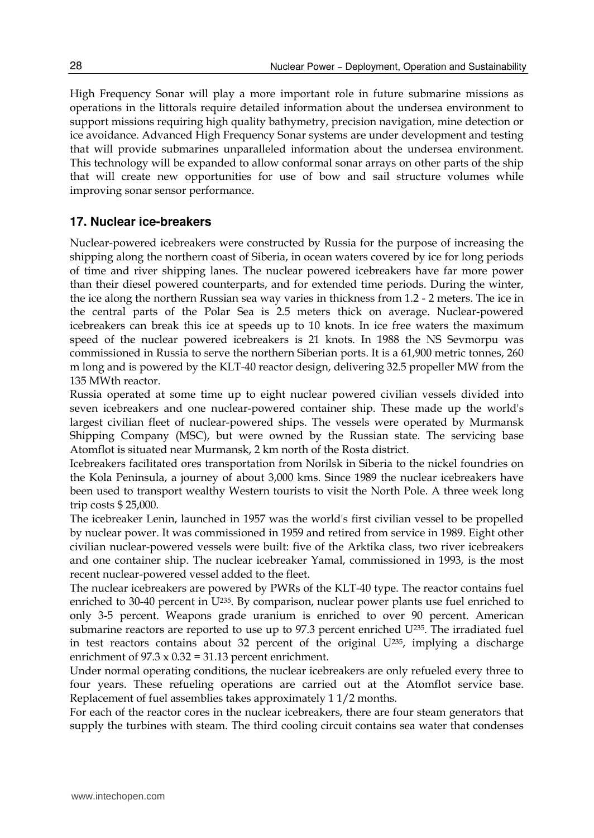High Frequency Sonar will play a more important role in future submarine missions as operations in the littorals require detailed information about the undersea environment to support missions requiring high quality bathymetry, precision navigation, mine detection or ice avoidance. Advanced High Frequency Sonar systems are under development and testing that will provide submarines unparalleled information about the undersea environment. This technology will be expanded to allow conformal sonar arrays on other parts of the ship that will create new opportunities for use of bow and sail structure volumes while improving sonar sensor performance.

## **17. Nuclear ice-breakers**

Nuclear-powered icebreakers were constructed by Russia for the purpose of increasing the shipping along the northern coast of Siberia, in ocean waters covered by ice for long periods of time and river shipping lanes. The nuclear powered icebreakers have far more power than their diesel powered counterparts, and for extended time periods. During the winter, the ice along the northern Russian sea way varies in thickness from 1.2 - 2 meters. The ice in the central parts of the Polar Sea is 2.5 meters thick on average. Nuclear-powered icebreakers can break this ice at speeds up to 10 knots. In ice free waters the maximum speed of the nuclear powered icebreakers is 21 knots. In 1988 the NS Sevmorpu was commissioned in Russia to serve the northern Siberian ports. It is a 61,900 metric tonnes, 260 m long and is powered by the KLT-40 reactor design, delivering 32.5 propeller MW from the 135 MWth reactor.

Russia operated at some time up to eight nuclear powered civilian vessels divided into seven icebreakers and one nuclear-powered container ship. These made up the world's largest civilian fleet of nuclear-powered ships. The vessels were operated by Murmansk Shipping Company (MSC), but were owned by the Russian state. The servicing base Atomflot is situated near Murmansk, 2 km north of the Rosta district.

Icebreakers facilitated ores transportation from Norilsk in Siberia to the nickel foundries on the Kola Peninsula, a journey of about 3,000 kms. Since 1989 the nuclear icebreakers have been used to transport wealthy Western tourists to visit the North Pole. A three week long trip costs \$ 25,000.

The icebreaker Lenin, launched in 1957 was the world's first civilian vessel to be propelled by nuclear power. It was commissioned in 1959 and retired from service in 1989. Eight other civilian nuclear-powered vessels were built: five of the Arktika class, two river icebreakers and one container ship. The nuclear icebreaker Yamal, commissioned in 1993, is the most recent nuclear-powered vessel added to the fleet.

The nuclear icebreakers are powered by PWRs of the KLT-40 type. The reactor contains fuel enriched to 30-40 percent in U235. By comparison, nuclear power plants use fuel enriched to only 3-5 percent. Weapons grade uranium is enriched to over 90 percent. American submarine reactors are reported to use up to 97.3 percent enriched U<sup>235</sup>. The irradiated fuel in test reactors contains about 32 percent of the original  $U^{235}$ , implying a discharge enrichment of  $97.3 \times 0.32 = 31.13$  percent enrichment.

Under normal operating conditions, the nuclear icebreakers are only refueled every three to four years. These refueling operations are carried out at the Atomflot service base. Replacement of fuel assemblies takes approximately 1 1/2 months.

For each of the reactor cores in the nuclear icebreakers, there are four steam generators that supply the turbines with steam. The third cooling circuit contains sea water that condenses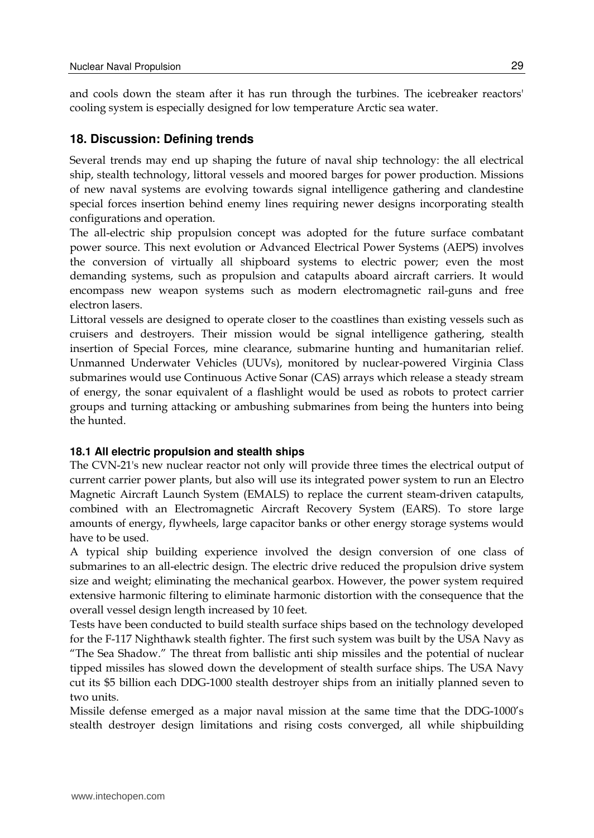and cools down the steam after it has run through the turbines. The icebreaker reactors' cooling system is especially designed for low temperature Arctic sea water.

# **18. Discussion: Defining trends**

Several trends may end up shaping the future of naval ship technology: the all electrical ship, stealth technology, littoral vessels and moored barges for power production. Missions of new naval systems are evolving towards signal intelligence gathering and clandestine special forces insertion behind enemy lines requiring newer designs incorporating stealth configurations and operation.

The all-electric ship propulsion concept was adopted for the future surface combatant power source. This next evolution or Advanced Electrical Power Systems (AEPS) involves the conversion of virtually all shipboard systems to electric power; even the most demanding systems, such as propulsion and catapults aboard aircraft carriers. It would encompass new weapon systems such as modern electromagnetic rail-guns and free electron lasers.

Littoral vessels are designed to operate closer to the coastlines than existing vessels such as cruisers and destroyers. Their mission would be signal intelligence gathering, stealth insertion of Special Forces, mine clearance, submarine hunting and humanitarian relief. Unmanned Underwater Vehicles (UUVs), monitored by nuclear-powered Virginia Class submarines would use Continuous Active Sonar (CAS) arrays which release a steady stream of energy, the sonar equivalent of a flashlight would be used as robots to protect carrier groups and turning attacking or ambushing submarines from being the hunters into being the hunted.

## **18.1 All electric propulsion and stealth ships**

The CVN-21's new nuclear reactor not only will provide three times the electrical output of current carrier power plants, but also will use its integrated power system to run an Electro Magnetic Aircraft Launch System (EMALS) to replace the current steam-driven catapults, combined with an Electromagnetic Aircraft Recovery System (EARS). To store large amounts of energy, flywheels, large capacitor banks or other energy storage systems would have to be used.

A typical ship building experience involved the design conversion of one class of submarines to an all-electric design. The electric drive reduced the propulsion drive system size and weight; eliminating the mechanical gearbox. However, the power system required extensive harmonic filtering to eliminate harmonic distortion with the consequence that the overall vessel design length increased by 10 feet.

Tests have been conducted to build stealth surface ships based on the technology developed for the F-117 Nighthawk stealth fighter. The first such system was built by the USA Navy as "The Sea Shadow." The threat from ballistic anti ship missiles and the potential of nuclear tipped missiles has slowed down the development of stealth surface ships. The USA Navy cut its \$5 billion each DDG-1000 stealth destroyer ships from an initially planned seven to two units.

Missile defense emerged as a major naval mission at the same time that the DDG-1000's stealth destroyer design limitations and rising costs converged, all while shipbuilding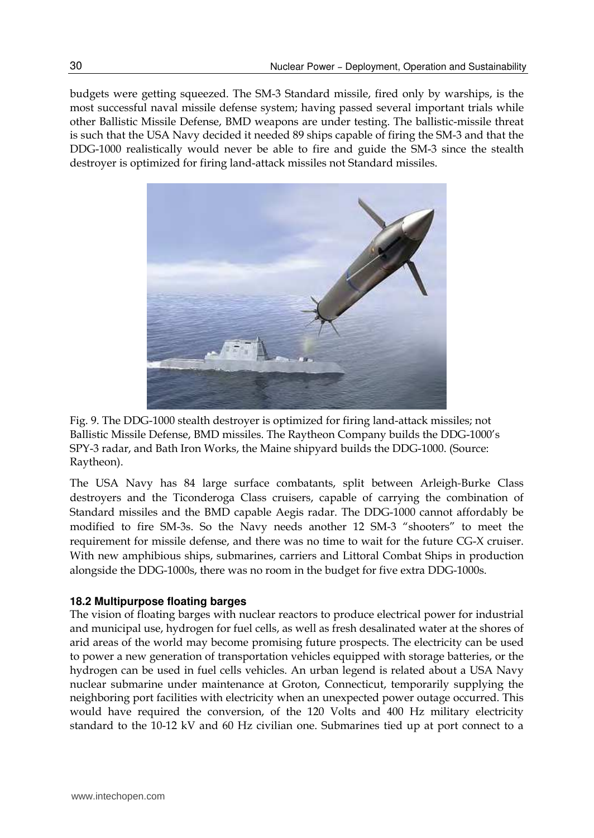budgets were getting squeezed. The SM-3 Standard missile, fired only by warships, is the most successful naval missile defense system; having passed several important trials while other Ballistic Missile Defense, BMD weapons are under testing. The ballistic-missile threat is such that the USA Navy decided it needed 89 ships capable of firing the SM-3 and that the DDG-1000 realistically would never be able to fire and guide the SM-3 since the stealth destroyer is optimized for firing land-attack missiles not Standard missiles.



Fig. 9. The DDG-1000 stealth destroyer is optimized for firing land-attack missiles; not Ballistic Missile Defense, BMD missiles. The Raytheon Company builds the DDG-1000's SPY-3 radar, and Bath Iron Works, the Maine shipyard builds the DDG-1000. (Source: Raytheon).

The USA Navy has 84 large surface combatants, split between Arleigh*-*Burke Class destroyers and the Ticonderoga Class cruisers, capable of carrying the combination of Standard missiles and the BMD capable Aegis radar. The DDG-1000 cannot affordably be modified to fire SM-3s. So the Navy needs another 12 SM-3 "shooters" to meet the requirement for missile defense, and there was no time to wait for the future CG-X cruiser. With new amphibious ships, submarines, carriers and Littoral Combat Ships in production alongside the DDG-1000s, there was no room in the budget for five extra DDG-1000s.

## **18.2 Multipurpose floating barges**

The vision of floating barges with nuclear reactors to produce electrical power for industrial and municipal use, hydrogen for fuel cells, as well as fresh desalinated water at the shores of arid areas of the world may become promising future prospects. The electricity can be used to power a new generation of transportation vehicles equipped with storage batteries, or the hydrogen can be used in fuel cells vehicles. An urban legend is related about a USA Navy nuclear submarine under maintenance at Groton, Connecticut, temporarily supplying the neighboring port facilities with electricity when an unexpected power outage occurred. This would have required the conversion, of the 120 Volts and 400 Hz military electricity standard to the 10-12 kV and 60 Hz civilian one. Submarines tied up at port connect to a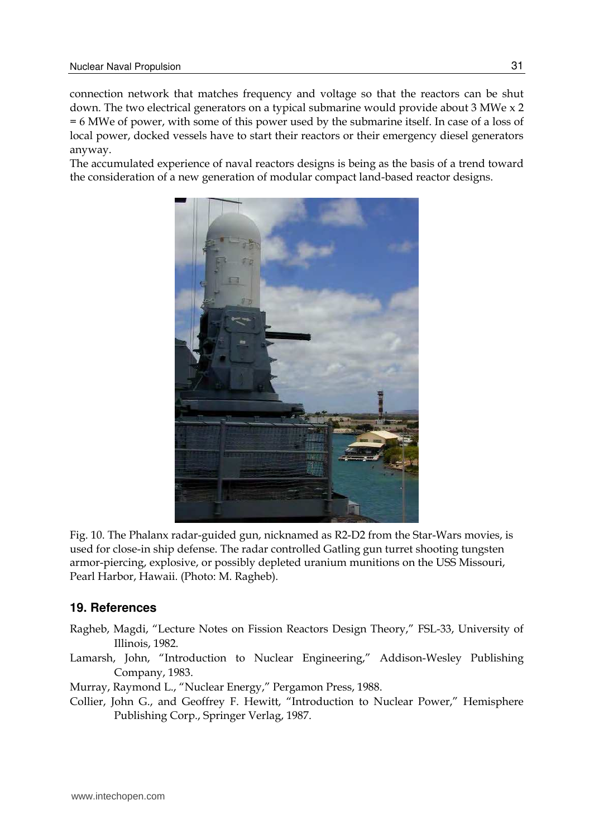connection network that matches frequency and voltage so that the reactors can be shut down. The two electrical generators on a typical submarine would provide about 3 MWe x 2 = 6 MWe of power, with some of this power used by the submarine itself. In case of a loss of local power, docked vessels have to start their reactors or their emergency diesel generators anyway.

The accumulated experience of naval reactors designs is being as the basis of a trend toward the consideration of a new generation of modular compact land-based reactor designs.



Fig. 10. The Phalanx radar-guided gun, nicknamed as R2-D2 from the Star-Wars movies, is used for close-in ship defense. The radar controlled Gatling gun turret shooting tungsten armor-piercing, explosive, or possibly depleted uranium munitions on the USS Missouri, Pearl Harbor, Hawaii. (Photo: M. Ragheb).

## **19. References**

- Ragheb, Magdi, "Lecture Notes on Fission Reactors Design Theory," FSL-33, University of Illinois, 1982.
- Lamarsh, John, "Introduction to Nuclear Engineering," Addison-Wesley Publishing Company, 1983.
- Murray, Raymond L., "Nuclear Energy," Pergamon Press, 1988.
- Collier, John G., and Geoffrey F. Hewitt, "Introduction to Nuclear Power," Hemisphere Publishing Corp., Springer Verlag, 1987.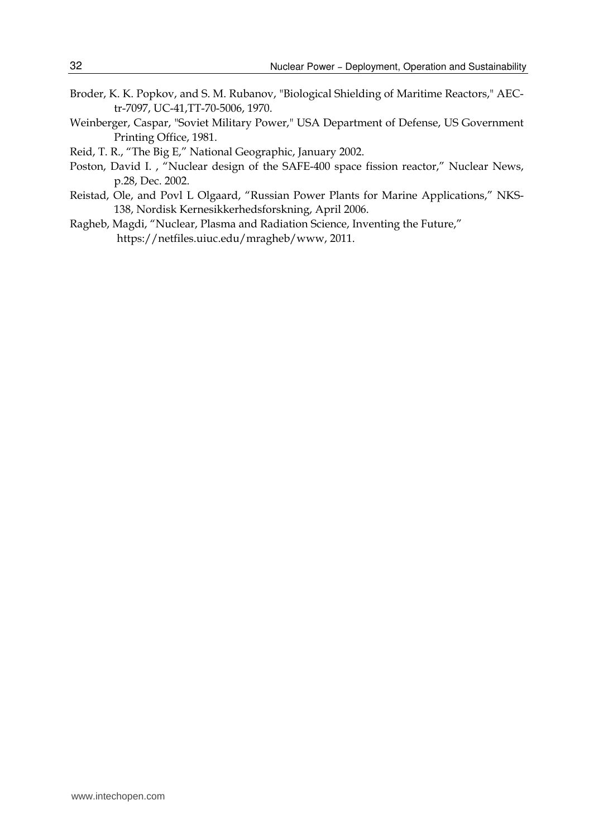- Broder, K. K. Popkov, and S. M. Rubanov, "Biological Shielding of Maritime Reactors," AECtr-7097, UC-41,TT-70-5006, 1970.
- Weinberger, Caspar, "Soviet Military Power," USA Department of Defense, US Government Printing Office, 1981.
- Reid, T. R., "The Big E," National Geographic, January 2002.
- Poston, David I. , "Nuclear design of the SAFE-400 space fission reactor," Nuclear News, p.28, Dec. 2002.
- Reistad, Ole, and Povl L Olgaard, "Russian Power Plants for Marine Applications," NKS-138, Nordisk Kernesikkerhedsforskning, April 2006.
- Ragheb, Magdi, "Nuclear, Plasma and Radiation Science, Inventing the Future," https://netfiles.uiuc.edu/mragheb/www, 2011.